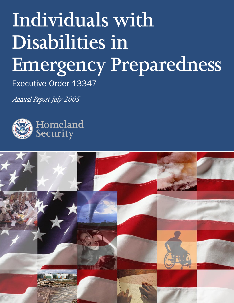# **Individuals with Disabilities in Emergency Preparedness**

Executive Order 13347

*Annual Report July 2005*



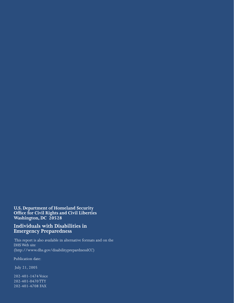#### **U.S. Department of Homeland Security Office for Civil Rights and Civil Liberties Washington, DC 20528**

#### **Individuals with Disabilities in Emergency Preparedness**

 This report is also available in alternative formats and on the DHS Web site (http://www.dhs.gov/disabilityprepardnessICC)

Publication date:

July 21, 2005

202-401-1474 Voice 202-401-0470 TTY 202-401-4708 FAX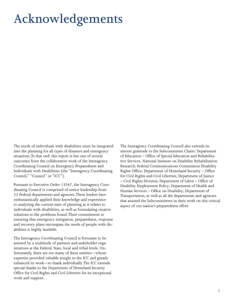## <span id="page-2-0"></span>**Acknowledgements**

The needs of individuals with disabilities must be integrated into the planning for all types of disasters and emergency situations. To that end, this report is but one of several outcomes from the collaborative work of the Interagency Coordinating Council on Emergency Preparedness and Individuals with Disabilities (the "Interagency Coordinating Council," "Council" or "ICC").

Pursuant to Executive Order 13347, the Interagency Coordinating Council is comprised of senior leadership from 23 Federal departments and agencies. These leaders have enthusiastically applied their knowledge and experience to analyzing the current state of planning as it relates to individuals with disabilities, as well as formulating creative solutions to the problems found. Their commitment to ensuring that emergency mitigation, preparedness, response and recovery plans encompass the needs of people with disabilities is highly laudable.

The Interagency Coordinating Council is fortunate to be assisted by a multitude of partners and stakeholder organizations at the Federal, State, local and tribal levels. Unfortunately, there are too many of these entities—whose expertise provided valuable insight to the ICC and greatly enhanced its work—to thank individually. The ICC extends special thanks to the Department of Homeland Security Office for Civil Rights and Civil Liberties for its exceptional work and support.

The Interagency Coordinating Council also extends its sincere gratitude to the Subcommittee Chairs: Department of Education – Office of Special Education and Rehabilitative Services, National Institute on Disability Rehabilitation Research; Federal Communications Commission Disability Rights Office; Department of Homeland Security – Office for Civil Rights and Civil Liberties; Department of Justice – Civil Rights Division; Department of Labor – Office of Disability Employment Policy; Department of Health and Human Services – Office on Disability; Department of Transportation; as well as all the departments and agencies that assisted the Subcommittees in their work on this critical aspect of our nation's preparedness effort.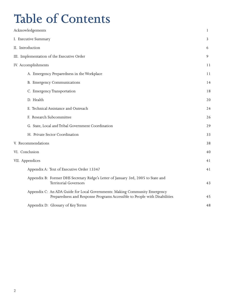## **Table of Contents**

| <b>Table of Contents</b>                                                                                                                                |    |
|---------------------------------------------------------------------------------------------------------------------------------------------------------|----|
| Acknowledgements                                                                                                                                        | 1  |
| I. Executive Summary                                                                                                                                    | 3  |
| II. Introduction                                                                                                                                        | 6  |
| III. Implementation of the Executive Order                                                                                                              | 9  |
| IV. Accomplishments                                                                                                                                     | 11 |
| A. Emergency Preparedness in the Workplace                                                                                                              | 11 |
| B. Emergency Communications                                                                                                                             | 14 |
| C. Emergency Transportation                                                                                                                             | 18 |
| D. Health                                                                                                                                               | 20 |
| E. Technical Assistance and Outreach                                                                                                                    | 24 |
| F. Research Subcommittee                                                                                                                                | 26 |
| G. State, Local and Tribal Government Coordination                                                                                                      | 29 |
| H. Private Sector Coordination                                                                                                                          | 33 |
| V. Recommendations                                                                                                                                      | 38 |
| VI. Conclusion                                                                                                                                          | 40 |
| VII. Appendices                                                                                                                                         | 41 |
| Appendix A: Text of Executive Order 13347                                                                                                               | 41 |
| Appendix B: Former DHS Secretary Ridge's Letter of January 3rd, 2005 to State and<br><b>Territorial Governors</b>                                       | 43 |
| Appendix C: An ADA Guide for Local Governments: Making Community Emergency<br>Preparedness and Response Programs Accessible to People with Disabilities | 45 |
| Appendix D: Glossary of Key Terms                                                                                                                       | 48 |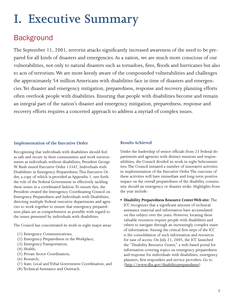## <span id="page-4-0"></span>**I. Executive Summary**

### Background

The September 11, 2001, terrorist attacks significantly increased awareness of the need to be prepared for all kinds of disasters and emergencies. As a nation, we are much more conscious of our vulnerabilities, not only to natural disasters such as tornadoes, fires, floods and hurricanes but also to acts of terrorism. We are more keenly aware of the compounded vulnerabilities and challenges the approximately 54 million Americans with disabilities face in time of disasters and emergencies. Yet disaster and emergency mitigation, preparedness, response and recovery planning efforts often overlook people with disabilities. Ensuring that people with disabilities become and remain an integral part of the nation's disaster and emergency mitigation, preparedness, response and recovery efforts requires a concerted approach to address a myriad of complex issues.

#### **Implementation of the Executive Order**

Recognizing that individuals with disabilities should feel as safe and secure in their communities and work environments as individuals without disabilities, President George W. Bush issued Executive Order 13347, Individuals with Disabilities in Emergency Preparedness. This Executive Order, a copy of which is provided as Appendix 1, sets forth the role of the Federal Government in effectively tackling these issues in a coordinated fashion. To ensure this, the President created the Interagency Coordinating Council on Emergency Preparedness and Individuals with Disabilities, directing multiple Federal executive departments and agencies to work together to ensure that emergency preparedness plans are as comprehensive as possible with regard to the issues presented by individuals with disabilities.

The Council has concentrated its work in eight major areas:

- (1) Emergency Communications;
- (2) Emergency Preparedness in the Workplace;
- (3) Emergency Transportation;
- (4) Health;
- (5) Private Sector Coordination;
- (6) Research;
- (7) State, Local and Tribal Government Coordination; and
- (8) Technical Assistance and Outreach.

#### **Results Achieved**

Under the leadership of senior officials from 23 Federal departments and agencies with distinct missions and responsibilities, the Council divided its work in eight Subcommittees. The Council initiated a number of innovative activities in implementation of the Executive Order. The outcome of these activities will have immediate and long-term positive impact on the overall preparedness of the disability community should an emergency or disaster strike. Highlights from the year include:

**• Disability Preparedness Resource Center Web site:** The ICC recognizes that a significant amount of technical assistance material and information have accumulated on this subject over the years. However, locating these valuable resources require people with disabilities and others to navigate through an increasingly complex maze of information. Among the critical first steps of the ICC is the consolidation of such information and resources for ease of access. On July 21, 2005, the ICC launched the "Disability Resource Center," a web-based portal for information covering topics on emergency preparedness and response for individuals with disabilities, emergency planners, first responders and service providers. Go to (http://www.dhs.gov/disabilitypreparedness)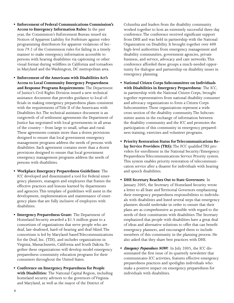- **Enforcement of Federal Communications Commission's Access to Emergency Information Rules:** In the past year, the Commission's Enforcement Bureau issued six Notices of Apparent Liability for Forfeiture against video programming distributors for apparent violations of Section 79.2 of the Commission rules for failing in a timely manner to make emergency information accessible to persons with hearing disabilities via captioning or other visual format during wildfires in California and tornadoes in Maryland and the Washington, DC metropolitan area.
- **Enforcement of the Americans with Disabilities Act's Access to Local Community Emergency Preparedness and Response Programs Requirements:** The Department of Justice's Civil Rights Division issued a new technical assistance document that provides guidance to local officials in making emergency preparedness plans consistent with the requirements of Title II of the Americans with Disabilities Act. The technical assistance document is an outgrowth of of settlement agreements the Department of Justice has negotiated with local governments in all areas of the country – from large to small, urban and rural. These agreements contain more than a dozen provisions designed to ensure that local government emergency management programs address the needs of persons with disabilities. Each agreement contains more than a dozen provisions designed to ensure that local government emergency management programs address the needs of persons with disabilities.
- **Workplace Emergency Preparedness Guidelines:** The ICC developed and disseminated a tool for Federal emergency planners, managers and employees that frames the effective practices and lessons learned by departments and agencies. This template of guidelines will assist in the development, implementation and maintenance of emergency plans that are fully inclusive of employees with disabilities.
- **Emergency Preparedness Grant:** The Department of Homeland Security awarded a \$1.5 million grant to a consortium of organizations that serve people who are deaf, late-deafened, hard-of-hearing and deaf-blind. The consortium is led by Maryland-based Telecommunications for the Deaf, Inc. (TDI), and includes organizations in Virginia, Massachusetts, California and South Dakota. Together these organizations will develop model emergency preparedness community education programs for their consumers throughout the United States.
- **Conference on Emergency Preparedness for People with Disabilities:** The National Capital Region, including homeland security advisors to the governors of Virginia and Maryland, as well as the mayor of the District of

Columbia and leaders from the disability community worked together to host an extremely successful three-day conference. The conference received significant support from DHS and was held in partnership with the National Organization on Disability. It brought together over 400 high-level authorities from emergency management and disability communities, government agencies, private business, and service, advocacy and care networks. This conference afforded these groups a much-needed opportunity for dialogue and partnership on disability issues in emergency planning.

- **National Citizen Corps Subcommittee on Individuals with Disabilities in Emergency Preparedness:** The ICC, in partnership with the National Citizen Corps, brought together representatives from national disability consumer and advocacy organizations to form a Citizen Corps Subcommittee. These organizations represent a wide cross-section of the disability community. The Subcommittee assists in the exchange of information between the disability community and the ICC and promotes the participation of this community in emergency preparedness training, exercises and volunteer programs.
- **Priority Restoration Status for Telecommunications Relay Service Providers (TRS):** The FCC qualified TRS providers for enrollment in the National Security/Emergency Preparedness Telecommunications Service Priority system. This system enables priority restoration of telecommunication service after a disaster for individuals with hearing and speech disabilities.
- **DHS Secretary Reaches Out to State Governors:** In January 2005, the Secretary of Homeland Security wrote a letter to all State and Territorial Governors emphasizing their emergency preparedness responsibilities to individuals with disabilities and listed several steps that emergency planners should undertake in order to ensure that their plans are as comprehensive as possible with regard to the needs of their constituents with disabilities. The Secretary emphasized that people with disabilities have a great deal of ideas and alternative solutions to offer that can benefit emergency planners, and encouraged them to include members of this community in the planning process. He also asked that they share best practices with DHS.
- *Emergency Preparedness NOW***:** In July 2005, the ICC disseminated the first issue of its quarterly newsletter that communicates ICC activities, features effective emergency preparedness practices and spotlights individuals who make a positive impact on emergency preparedness for individuals with disabilities.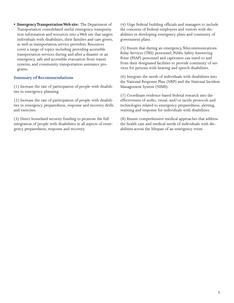**• Emergency Transportation Web site:** The Department of Transportation consolidated useful emergency transportation information and resources into a Web site that targets individuals with disabilities, their families and care givers, as well as transportation service providers. Resources cover a range of topics including providing accessible transportation services during and after a disaster or an emergency, safe and accessible evacuation from transit systems, and community transportation assistance programs.

#### **Summary of Recommendations**

(1) Increase the rate of participation of people with disabilities in emergency planning.

(2) Increase the rate of participation of people with disabilities in emergency preparedness, response and recovery drills and exercises.

(3) Direct homeland security funding to promote the full integration of people with disabilities in all aspects of emergency preparedness, response and recovery.

(4) Urge Federal building officials and managers to include the concerns of Federal employees and visitors with disabilities in developing emergency plans and continuity of government plans.

(5) Ensure that during an emergency, Telecommunications Relay Services (TRS) personnel, Public Safety Answering Point (PSAP) personnel and captioners can travel to and from their designated facilities to provide continuity of services for persons with hearing and speech disabilities.

(6) Integrate the needs of individuals with disabilities into the National Response Plan (NRP) and the National Incident Management System (NIMS).

(7) Coordinate evidence-based Federal research into the effectiveness of audio, visual, and/or tactile protocols and technologies related to emergency preparedness, alerting, warning and response for individuals with disabilities.

(8) Ensure comprehensive medical approaches that address the health care and medical needs of individuals with disabilities across the lifespan of an emergency event.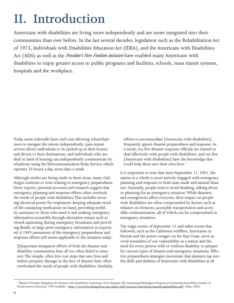## <span id="page-7-0"></span>**II. Introduction**

Americans with disabilities are living more independently and are more integrated into their communities than ever before. In the last several decades, legislation such as the Rehabilitation Act of 1973, Individuals with Disabilities Education Act (IDEA), and the Americans with Disabilities Act (ADA) as well as the *President's New Freedom Initiative* have enabled many Americans with disabilities to enjoy greater access to public programs and facilities, schools, mass transit systems, hospitals and the workplace.

Today more sidewalks have curb cuts allowing wheelchair users to navigate the streets independently; para-transit service allows individuals to be picked up at their homes and driven to their destinations; and individuals who are deaf or hard of hearing can independently communicate by telephone using the Telecommunication Relay Service which operates 24 hours a day, seven days a week.

Although strides are being made in these areas, many challenges continue to exist relating to emergency preparedness. News reports, personal accounts and research suggest that emergency planning and response efforts often overlook the needs of people with disabilities. This includes securing electrical power for respirators, keeping adequate stock of life-sustaining medication on hand, providing mobility assistance to those who need it and making emergency information accessible through alternative means such as closed captioning during emergency broadcasts and providing Braille or large print emergency information as requested. A 1995 assessment of the emergency preparedness and response efforts still seems applicable to the situation today:

[I]mportant mitigation efforts of both the disaster and disability communities have all too often failed to intersect. The simple, often low cost steps that save lives and reduce property damage in the face of disaster have often overlooked the needs of people with disabilities. Similarly, efforts to accommodate [Americans with disabilities] frequently ignore disaster preparedness and response. As a result, too few disaster response officials are trained to deal effectively with people with disabilities, and too few [Americans with disabilities] have the knowledge that could help them save their own lives.<sup>1</sup>

It is important to note that since September 11, 2001, the nation as a whole is more actively engaged with emergency planning and response to both man-made and natural disasters. Generally, people tend to avoid thinking, talking about or planning for an emergency situation. While disasters and emergencies affect everyone, their impact on people with disabilities are often compounded by factors such as reliance on elevators, accessible transportation and accessible communication, all of which can be compromised in emergency situations.

The tragic events of September 11 and other events that followed, such as the California wildfires, hurricanes in Florida and the power outages on the East Coast, serve as vivid reminders of our vulnerability as a nation and the need for every person with or without disability to prepare for various types of disaster and emergency situations. Effective preparedness strategies necessitate that planners tap into the skills and abilities of Americans with disabilities at all

<sup>&</sup>lt;sup>1</sup> Blanck, P. Disaster Mitigation for Persons with Disabilities: Fostering a New Dialogue. The Annenberg Washington Program in Communications Policy Studies of Northwestern University. 1995 Available: <http://www.forcedmigration.org/sphere/pdf/common/annenberg/annenbergdisabilities.pdf> (May, 2005)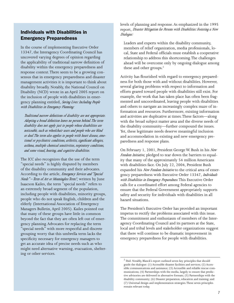#### Individuals with Disabilities in Emergency Preparedness

In the course of implementing Executive Order 13347, the Interagency Coordinating Council has uncovered varying degrees of opinion regarding the applicability of traditional narrow definition of disability within the emergency preparedness and response context. There seem to be a growing consensus that in emergency preparedness and disaster management activities it is important to think about disability broadly. Notably, the National Council on Disability (NCD) wrote in an April 2005 report on the inclusion of people with disabilities in emergency planning entitled, *Saving Lives: Including People with Disabilities in Emergency Planning:*

*Traditional narrow definitions of disability are not appropriate. Adopting a broad definition leaves no person behind. The term disability does not apply just to people whose disabilities are noticeable, such as wheelchair users and people who are blind or deaf. The term also applies to people with heart disease, emotional or psychiatric conditions, arthritis, significant allergies, asthma, multiple chemical sensitivities, respiratory conditions, and some visual, hearing, and cognitive disabilities.* 

The ICC also recognizes that the use of the term "special needs" is highly disputed by members of the disability community and their advocates. According to the article, *Emergency Services and "Special Needs" – Term of Art or Meaningless Term?*, written by June Isaacson Kailes, the term "special needs" refers to an extremely broad segment of the population, including people with disabilities, minority groups, people who do not speak English, children and the elderly (International Association of Emergency Managers Bulletin, April 2005). Kailes pointed out that many of these groups have little in common beyond the fact that they are often left out of emergency planning. Advocates for replacing the term "special needs" with more respectful and discrete grouping worry that this umbrella term lacks the specificity necessary for emergency managers to get an accurate idea of precise needs such as who might need alternative warning, evacuation, sheltering or other services.

levels of planning and response. As emphasized in the 1995 report, *Disaster Mitigation for Persons with Disabilities: Fostering a New Dialogue:*

Leaders and experts within the disability community, members of relief organization, media professionals, local, State and Federal officials must establish a cooperative relationship to address this shortcoming. The challenges ahead will be overcome only by ongoing dialogue among these and other groups.<sup>2</sup>

Activity has flourished with regard to emergency preparedness for both those with and without disabilities. However, several glaring problems with respect to information and efforts geared toward people with disabilities still exist. For example, the work that has taken place has often been fragmented and uncoordinated, leaving people with disabilities and others to navigate an increasingly complex maze of information and resources. Furthermore, existing information and activities are duplicative at times. These factors—along with the broad subject matter area and the diverse needs of the disability community—further compound the issues. Yet, these legitimate needs deserve meaningful inclusion and accommodation in existing and new emergency preparedness and response plans.

On February 1, 2001, President George W. Bush in his *New Freedom Initiative*, pledged to tear down the barriers to equality that many of the approximately 54 million Americans with disabilities face. On July 22, 2004, President Bush expanded his *New Freedom Initiative* to the critical area of emergency preparedness with Executive Order 13347, *Individuals with Disabilities in Emergency Preparedness*. This Executive Order calls for a coordinated effort among Federal agencies to ensure that the Federal Government appropriately supports safety and security for individuals with disabilities in all hazard situations.

The President's Executive Order has provided an important impetus to rectify the problems associated with this issue. The commitment and enthusiasm of members of the Interagency Coordinating Council and its partners at the State, local and tribal levels and stakeholder organizations suggest that there will continue to be dramatic improvement in emergency preparedness for people with disabilities.

<sup>&</sup>lt;sup>2</sup> Ibid. Notably, Blanck's report outlined seven key principles that should guide the dialogue: (1) Accessible disaster facilities and services; (2) Accessible communications and assistance; (3) Accessible and reliable rescue communications; (4) Partnerships with the media, largely to ensure that predictive advisories are delivered in alternative formats; (5) Partnerships with the disability community; (6) Disaster preparation, education and training; and (7) Universal design and implementation strategies. These seven principles remain relevant today.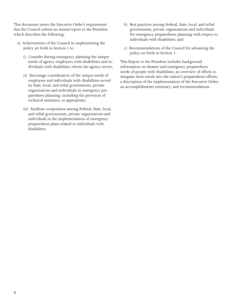This document meets the Executive Order's requirement that the Council submit an annual report to the President which describes the following:

- a) Achievements of the Council in implementing the policy set forth in Section 1 to:
	- i) Consider during emergency planning the unique needs of agency employees with disabilities and individuals with disabilities whom the agency serves;
	- ii) Encourage consideration of the unique needs of employees and individuals with disabilities served by State, local, and tribal governments, private organizations and individuals in emergency preparedness planning; including the provision of technical assistance, as appropriate;
	- iii) Facilitate cooperation among Federal, State, local, and tribal governments, private organizations and individuals in the implementation of emergency preparedness plans related to individuals with disabilities.
- b) Best practices among Federal, State, local, and tribal governments, private organizations and individuals for emergency preparedness planning with respect to individuals with disabilities; and
- c) Recommendations of the Council for advancing the policy set forth in Section 1.

This Report to the President includes background information on disaster and emergency preparedness needs of people with disabilities; an overview of efforts to integrate these needs into the nation's preparedness efforts; a description of the implementation of the Executive Order; an accomplishments summary; and recommendations.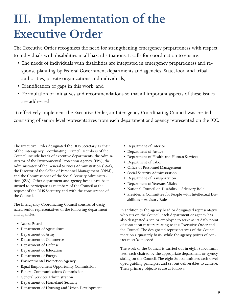## <span id="page-10-0"></span>**III. Implementation of the Executive Order**

The Executive Order recognizes the need for strengthening emergency preparedness with respect to individuals with disabilities in all hazard situations. It calls for coordination to ensure:

- The needs of individuals with disabilities are integrated in emergency preparedness and response planning by Federal Government departments and agencies, State, local and tribal authorities, private organizations and individuals;
- Identification of gaps in this work; and
- Formulation of initiatives and recommendations so that all important aspects of these issues are addressed.

To effectively implement the Executive Order, an Interagency Coordinating Council was created consisting of senior level representatives from each department and agency represented on the ICC.

The Executive Order designated the DHS Secretary as chair of the Interagency Coordinating Council. Members of the Council include heads of executive departments, the Administrator of the Environmental Protection Agency (EPA), the Administrator of the General Services Administration (GSA), the Director of the Office of Personnel Management (OPM), and the Commissioner of the Social Security Administration (SSA). Other department and agency heads have been invited to participate as members of the Council at the request of the DHS Secretary and with the concurrence of the Council.

The Interagency Coordinating Council consists of designated senior representatives of the following department and agencies.

- Access Board
- Department of Agriculture
- Department of Army
- Department of Commerce
- Department of Defense
- Department of Education
- Department of Energy
- Environmental Protection Agency
- Equal Employment Opportunity Commission
- Federal Communications Commission
- General Services Administration
- Department of Homeland Security
- Department of Housing and Urban Development
- Department of Interior
- Department of Justice
- Department of Health and Human Services
- Department of Labor
- Office of Personnel Management
- Social Security Administration
- Department of Transportation
- Department of Veterans Affairs
- National Council on Disability Advisory Role
- President's Committee for People with Intellectual Disabilities – Advisory Role

In addition to the agency head or designated representative who sits on the Council, each department or agency has also designated a senior employee to serve as its daily point of contact on matters relating to this Executive Order and the Council. The designated representatives of the Council meet on a quarterly basis, while the agency points of contact meet 'as needed'.

The work of the Council is carried out in eight Subcommittees, each chaired by the appropriate department or agency sitting on the Council. The eight Subcommittees each developed guiding principles and set out deliverables to achieve. Their primary objectives are as follows: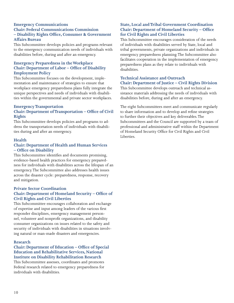#### **Emergency Communications Chair: Federal Communications Commission – Disability Rights Office, Consumer & Government Affairs Bureau**

This Subcommittee develops policies and programs relevant to the emergency communication needs of individuals with disabilities before, during and after an emergency.

#### **Emergency Preparedness in the Workplace Chair: Department of Labor – Office of Disability Employment Policy**

This Subcommittee focuses on the development, implementation and maintenance of strategies to ensure that workplace emergency preparedness plans fully integrate the unique perspectives and needs of individuals with disabilities within the governmental and private sector workplaces.

#### **Emergency Transportation Chair: Department of Transportation – Office of Civil Rights**

This Subcommittee develops policies and programs to address the transportation needs of individuals with disabilities during and after an emergency.

#### **Health**

#### **Chair: Department of Health and Human Services – Office on Disability**

This Subcommittee identifies and documents promising, evidence-based health practices for emergency preparedness for individuals with disabilities across the lifespan of an emergency. The Subcommittee also addresses health issues across the disaster cycle: preparedness, response, recovery and mitigation.

#### **Private Sector Coordination Chair: Department of Homeland Security – Office of Civil Rights and Civil Liberties**

This Subcommittee encourages collaboration and exchange of expertise and input among leaders of the various first responder disciplines, emergency management personnel, volunteer and nonprofit organizations, and disability consumer organizations on issues related to the safety and security of individuals with disabilities in situations involving natural or man-made disasters and emergencies.

#### **Research**

#### **Chair: Department of Education – Office of Special Education and Rehabilitative Services, National Institute on Disability Rehabilitation Research**

This Subcommittee assesses, coordinates and promotes Federal research related to emergency preparedness for individuals with disabilities.

#### **State, Local and Tribal Government Coordination Chair: Department of Homeland Security – Office for Civil Rights and Civil Liberties**

This Subcommittee encourages consideration of the needs of individuals with disabilities served by State, local and tribal governments, private organizations and individuals in emergency preparedness planning. The Subcommittee also facilitates cooperation in the implementation of emergency preparedness plans as they relate to individuals with disabilities.

#### **Technical Assistance and Outreach Chair: Department of Justice – Civil Rights Division**

This Subcommittee develops outreach and technical assistance materials addressing the needs of individuals with disabilities before, during and after an emergency.

The eight Subcommittees meet and communicate regularly to share information and to develop and refine strategies to further their objectives and key deliverables. The Subcommittees and the Council are supported by a team of professional and administrative staff within the Department of Homeland Security Office for Civil Rights and Civil Liberties.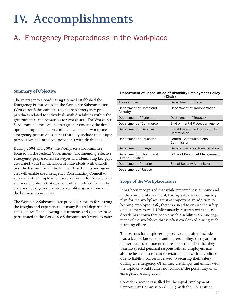## <span id="page-12-0"></span>**IV. Accomplishments**

## A. Emergency Preparedness in the Workplace

#### **Summary of Objective**

The Interagency Coordinating Council established the Emergency Preparedness in the Workplace Subcommittee (Workplace Subcommittee) to address emergency preparedness related to individuals with disabilities within the governmental and private sector workplaces. The Workplace Subcommittee focuses on strategies for ensuring the development, implementation and maintenance of workplace emergency preparedness plans that fully include the unique perspectives and needs of individuals with disabilities.

During 2004 and 2005, the Workplace Subcommittee focused on the Federal Government, documenting effective emergency preparedness strategies and identifying key gaps associated with full inclusion of individuals with disabilities. The lessons learned by Federal departments and agencies will enable the Interagency Coordinating Council to approach other employment sectors with effective practices and model policies that can be readily modified for use by State and local governments, nonprofit organizations and the business community.

The Workplace Subcommittee provided a forum for sharing the insights and experiences of many Federal departments and agencies. The following departments and agencies have participated in the Workplace Subcommittee's work to date:

| ,,,,,,,,,                                  |                                             |  |
|--------------------------------------------|---------------------------------------------|--|
| Access Board                               | Department of State                         |  |
| Department of Homeland<br>Security         | Department of Transportation                |  |
| Department of Agriculture                  | Department of Treasury                      |  |
| Department of Commerce                     | <b>Environmental Protection Agency</b>      |  |
| Department of Defense                      | Equal Employment Opportunity<br>Commission  |  |
| Department of Education                    | <b>Federal Communications</b><br>Commission |  |
| Department of Energy                       | <b>General Services Administration</b>      |  |
| Department of Health and<br>Human Services | Office of Personnel Management              |  |
| Department of Interior                     | Social Security Administration              |  |
| Department of Justice                      |                                             |  |

#### Department of Labor, Office of Disability Employment Policy (Chair)

#### **Scope of the Workplace Issues**

It has been recognized that while preparedness at home and in the community is crucial, having a disaster contingency plan for the workplace is just as important. In addition to keeping employees safe, there is a need to ensure the safety of customers as well. Unfortunately, research over the last decade has shown that people with disabilities are one segment of the workforce that is often overlooked during such planning efforts.

The reasons for employer neglect vary but often include fear, a lack of knowledge and understanding, disregard for the seriousness of potential threats, or the belief that they bear no special personal responsibilities. Employers may also be hesitant to recruit or retain people with disabilities due to liability concerns related to securing their safety during an emergency. Often they are simply unfamiliar with the topic or would rather not consider the possibility of an emergency arising at all.

Consider a recent case filed by The Equal Employment Opportunity Commission (EEOC) with the U.S. District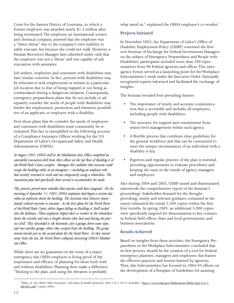Court for the Eastern District of Louisiana, in which a former employee was awarded nearly \$1.3 million after being terminated. The employer, an international science and chemical company, asserted that the employee was a "direct threat" due to the company's own inability to safely evacuate her because she could not walk. However, a Human Resources Manager later admitted under oath that the employee was not a 'threat' and was capable of safe evacuation with assistance.

Job seekers, employees and customers with disabilities may have similar concerns. In fact, persons with disabilities may be reluctant to seek employment or remain in a particular job location due to fear of being trapped or not being accommodated during a dangerous situation. Consequently, emergency preparedness plans that do not include or adequately consider the needs of people with disabilities may hinder the employment, promotion and retention possibilities of an applicant or employee with a disability.

Even those plans that do consider the needs of employees and customers with disabilities must consistently be reevaluated. This fact is exemplified in the following account of a Compliance Assistance Officer working for the U.S. Department of Labor's Occupational Safety and Health Administration (OSHA):

*In August 2001, OSHA staff at the Manhattan Area Office completed an uneventful evacuation drill from their offices on the top floor of Building 6 of the World Trade Center complex. Managers felt confident that everyone could escape the building safely in an emergency—including an employee who had recently returned to work and was temporarily using a wheelchair. The evacuation plan had specifically been revised to accommodate his needs.*

*This practice proved more valuable than anyone could have imagined. On the morning of September 11, 2001, OSHA employees had begun a routine day when an explosion shook the building. The Assistant Area Director immediately ordered everyone to evacuate. As the first plane hit the North Tower of the World Trade Center, debris began falling on Building 6. Staff rushed into the hallways. Three employees helped their co-worker in the wheelchair down the corridor and into a freight elevator they had used during the practice drill. They descended to the basement, into a garage, down some steps, and into another garage, where they escaped from the building. The group moved outside just as the second plane hit the South Tower. As they moved away from the site, the North Tower collapsed, destroying OSHA's Manhattan Office.* 

While there are no guarantees in the event of a major emergency, this OSHA employee is living proof of the importance and efficacy of planning for those both with and without disabilities. Planning does make a difference: "Sticking to the plan, and using the elevators is probably

what saved us," explained the OSHA employee's co-worker.<sup>3</sup>

#### **Projects Initiated**

In December 2003, the Department of Labor's Office of Disability Employment Policy (ODEP) convened the firstever Seminar of Exchange for Federal Government Managers on the subject of Emergency Preparedness and People with Disabilities; participants included more than 200 representatives from 90 Federal agencies and offices. This interagency forum served as a launching point for the Workplace Subcommittee's work under the Executive Order. Nationally recognized experts informed and facilitated the exchange of insights.

The Seminar revealed four prevailing themes:

- The importance of timely and accurate communication that is accessible and includes all employees, including people with disabilities.
- The necessity for support and commitment from senior-level management within each agency.
- A flexible process that combines clear guidelines for the general workforce and that can be customized to meet the unique circumstances of an individual with a disability is key.
- Rigorous and regular practice of the plan is essential, providing opportunities to evaluate procedures and keeping the issue in the minds of agency managers and employees.

Also during 2004 and 2005, ODEP issued and disseminated nationwide the comprehensive report of the Seminar's proceedings. Stakeholder demand for the thoughtprovoking, timely and relevant guidance contained in the report exhausted the initial 2,500 copies within the first four months. In spring 2005, an additional 5,000 copies were specifically targeted for dissemination to key contacts in Federal field offices, State and local governments, and business associations.

#### **Results Achieved**

Based on insights from these activities, the Emergency Preparedness in the Workplace Subcommittee concluded that its first priority should be the creation of a tool for Federal emergency planners, managers and employees that frames the effective practices and lessons learned by agencies. Thus, this Subcommittee has focused its 2004-05 efforts on the development of a Template of Guidelines for assisting

<sup>3&</sup>lt;br>Miles, D. "An OSHA Office Evacuates." Job Safety & Health Quarterly. 2001,13(1) 20-22. Available: <http://www.osha.gov/Publications/JSHQ/jshq-v13-1fall2001.pdf> (April, 2005)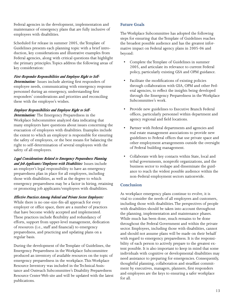Federal agencies in the development, implementation and maintenance of emergency plans that are fully inclusive of employees with disabilities.

Scheduled for release in summer 2005, the Template of Guidelines presents each planning topic with a brief introduction, key considerations and illustrative examples from Federal agencies, along with critical questions that highlight the primary principles. Topics address the following areas of key consideration:

#### *First-Responder Responsibilities and Employee Right to Self-*

*Determination:* Issues include alerting first responders of employee needs, communicating with emergency response personnel during an emergency, understanding first responders' considerations and priorities and reconciling these with the employee's wishes.

#### *Employer Responsibilities and Employee Right to Self-*

*Determination:* The Emergency Preparedness in the Workplace Subcommittee analyzed data indicating that many employers have questions about issues concerning the evacuation of employees with disabilities. Examples include the extent to which an employer is responsible for ensuring the safety of employees, or the best means for balancing the right to self-determination of several employees with the safety of all employees.

*Legal Considerations Related to Emergency Preparedness Planning and Job Applicants/Employees with Disabilities:* Issues include an employer's legal responsibility to have an emergency preparedness plan in place for all employees, including those with disabilities, as well as the degree to which emergency preparedness may be a factor in hiring, retaining or promoting job applicants/employees with disabilities.

*Effective Practices Among Federal and Private Sector Employers:*  While there is no one-size-fits-all approach for every employer or office space, there are a number of practices that have become widely accepted and implemented. These practices include flexibility and redundancy of efforts, support from upper-level management, dedication of resources (i.e., staff and financial) to emergency preparedness, and practicing and updating plans on a regular basis.

During the development of the Template of Guidelines, the Emergency Preparedness in the Workplace Subcommittee produced an inventory of available resources on the topic of emergency preparedness in the workplace. This Workplace Resource Inventory was included in the Technical Assistance and Outreach Subcommittee's Disability Preparedness Resource Center Web site and will be updated with the latest publications.

#### **Future Goals**

The Workplace Subcommittee has adopted the following steps for ensuring that the Template of Guidelines reaches the broadest possible audience and has the greatest informative impact on Federal agency plans in 2005-06 and beyond:

- Complete the Template of Guidelines in summer 2005, and articulate its relevance to current Federal policy, particularly existing GSA and OPM guidance.
- Facilitate the modifications of existing policies through collaboration with GSA, OPM and other Federal agencies, to reflect the insights being developed through the Emergency Preparedness in the Workplace Subcommittee's work.
- Provide new guidelines to Executive Branch Federal offices, particularly personnel within department and agency regional and field locations.
- Partner with Federal departments and agencies and real estate management associations to provide new guidelines to Federal offices that use private space and other employment arrangements outside the oversight of Federal building management.
- Collaborate with key contacts within State, local and tribal governments, nonprofit organizations, and the business sector to reshape and disseminate the guidance to reach the widest possible audience within the non-Federal employment sectors nationwide.

#### **Conclusion**

As workplace emergency plans continue to evolve, it is vital to consider the needs of all employees and customers, including those with disabilities. The perspectives of people with disabilities should be taken into account throughout the planning, implementation and maintenance phases. While much has been done, much remains to be done throughout the Federal Government and within the private sector. Employees, including those with disabilities, cannot and should not assume plans will be made on their behalf with regard to emergency preparedness. It is the responsibility of each person to actively prepare to the greatest extent possible. It is also important to keep in mind that some individuals with cognitive or developmental disabilities may need assistance to preparing for emergencies. Consequently, thoughtful planning, collaboration and steadfast commitment by executives, managers, planners, first responders and employees are the keys to ensuring a safer workplace for all.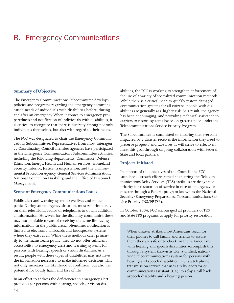### <span id="page-15-0"></span>B. Emergency Communications

#### **Summary of Objective**

The Emergency Communications Subcommittee develops policies and programs regarding the emergency communication needs of individuals with disabilities before, during and after an emergency. When it comes to emergency preparedness and notification of individuals with disabilities, it is critical to recognize that there is diversity among not only individuals themselves, but also with regard to their needs.

The FCC was designated to chair the Emergency Communications Subcommittee. Representatives from most Interagency Coordinating Council member agencies have participated in the Emergency Communications Subcommittee activities, including the following departments: Commerce, Defense, Education, Energy, Health and Human Services, Homeland Security, Interior, Justice, Transportation, and the Environmental Protection Agency, General Services Administration, National Council on Disability, and the Office of Personnel Management.

#### **Scope of Emergency Communications Issues**

Public alert and warning systems save lives and reduce panic. During an emergency situation, most Americans rely on their televisions, radios or telephones to obtain additional information. However, for the disability community, these may not be viable means of receiving the same life-saving information. In the public arena, oftentimes notification is limited to electronic billboards and loudspeaker systems, where they exist at all. While these methods cater primarily to the mainstream public, they do not offer sufficient accessibility to emergency alert and warning systems for persons with hearing, speech or vision disabilities. As a result, people with these types of disabilities may not have the information necessary to make informed decisions. This not only increases the likelihood of confusion, but also the potential for bodily harm and loss of life.

In an effort to address the deficiencies in emergency alert protocols for persons with hearing, speech or vision disabilities, the FCC is working to strengthen enforcement of the use of a variety of specialized communication methods. While there is a critical need to quickly restore damaged communication systems for all citizens, people with disabilities are generally at a higher risk. As a result, the agency has been encouraging, and providing technical assistance to carriers to restore systems based on greatest need under the Telecommunications Service Priority Program.

The Subcommittee is committed to ensuring that everyone impacted by a disaster receives the information they need to preserve property and save lives. It will strive to effectively meet this goal through ongoing collaboration with Federal, State and local partners.

#### **Projects Initiated**

In support of the objectives of the Council, the FCC launched outreach efforts aimed at ensuring that Telecommunications Relay Services (TRS) facilities are designated priority for restoration of service in case of emergency or disaster through a Federal program known as the National Security/Emergency Preparedness Telecommunications Service Priority (NS/EP TSP).

In October 2004, FCC encouraged all providers of TRS and State TRS programs to apply for priority restoration

When disaster strikes, most Americans reach for their phones to call family and friends to assure them they are safe or to check on them. Americans with hearing and speech disabilities accomplish this through a system known as TRS, a unified, nationwide telecommunications system for persons with hearing and speech disabilities. TRS is a telephone transmission service that uses a relay operator or communications assistant (CA), to relay a call back åspeech disability and a hearing person.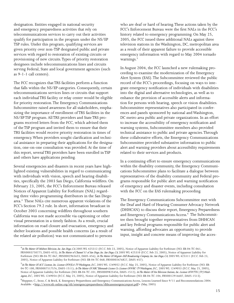designation. Entities engaged in national security and emergency preparedness activities that rely on telecommunications services to carry out their activities qualify for participation in the program under the NS/EP TSP rules. Under this program, qualifying services are given priority over non-TSP designated public and private services with regard to restoration of existing circuits or provisioning of new circuits. Types of priority restoration designees include telecommunications lines and circuits serving Federal, State and local government agencies (such as 9-1-1 call centers).

The FCC recognizes that TRS facilities perform a function that falls within the NS/EP categories. Consequently, certain telecommunications services lines or circuits that support each individual TRS facility or relay center would be eligible for priority restoration. The Emergency Communications Subcommittee raised awareness for all stakeholders, emphasizing the importance of enrollment of TRS facilities in the NS/EP TSP program. All TRS providers and State TRS programs received letters from the FCC, which advised them of the TSP program and invited them to ensure that their TRS facilities would receive priority restoration in times of emergency. When providers sought clarification and technical assistance in preparing their applications for the designation, one-on-one consultation was provided. At the time of this report, several TRS providers have been enrolled in TSP and others have applications pending.

Several emergencies and disasters in recent years have highlighted existing vulnerabilities in regard to communicating with individuals with vision, speech and hearing disabilities, specifically the 2003 San Diego, California wildfires. On February 23, 2005, the FCC's Enforcement Bureau released Notices of Apparent Liability for Forfeiture (NAL) regarding three video programming distributors in the San Diego area.<sup>4</sup> These NALs cite numerous apparent violations of the FCC's Section 79.2 rule. In short, information broadcast in October 2003 concerning wildfires throughout southern California was not made accessible via captioning or other visual presentation in a timely fashion. As a result, crucial information on road closure and evacuation, emergency and shelter locations and possible health concerns (as a result of the related air pollution) was not communicated to persons

who are deaf or hard of hearing. These actions taken by the FCC's Enforcement Bureau were the first NALs in the FCC's history related to emergency programming. On May 25, 2005, the FCC issued three additional NALs against three television stations in the Washington, DC, metropolitan area as a result of their apparent failure to provide accessible emergency information with regard to May 2004 tornado warnings.<sup>5</sup>

In August 2004, the FCC launched a new rulemaking proceeding to examine the modernization of the Emergency Alert System (EAS). The Subcommittee reviewed the public record of the FCC's proceedings, focusing on ways to integrate emergency notification of individuals with disabilities into the digital and alternative technologies, as well as to enhance the provision of accessible alerts and information for persons with hearing, speech or vision disabilities. Subcommittee representatives also participated in conferences and panels sponsored by national and Washington, DC metro area public and private organizations. In an effort to increase the accessibility of emergency notification and warning systems, Subcommittee members also provided technical assistance to public and private agencies. Through these collaborative efforts, the Emergency Communications Subcommittee provided substantive information to public alert and warning providers about accessibility requirements related to their services and products.

In a continuing effort to ensure emergency communications within the disability community, the Emergency Communications Subcommittee plans to facilitate a dialogue between representatives of the disability community and Federal programs responsible for public alert and warning notification of emergency and disaster events, including consultation with the FCC on the EAS rulemaking proceeding.

The Emergency Communications Subcommittee met with the Deaf and Hard of Hearing Consumer Advocacy Network (DHHCAN) to discuss their report, Emergency Preparedness and Emergency Communications Access.<sup>6</sup> The Subcommittee then brought together representatives from DHHCAN and key Federal programs responsible for public alert and warning, affording advocates an opportunity to provide input, insight and concrete means of improving the acces-

<sup>4</sup> *In The Matter Of Midwest Television, Inc. San Diego, CA,* 2005 WL 425312 (F.C.C. Feb 23, 2005), Notice of Apparent Liability for Forfeiture (NO. EB-04-TC-061, FRN0003750775, DA05-455); *In The Matter of Channel 51 of San Diego, Inc. San Diego, CA*, 2005 WL 425310 (F.C.C. Feb 23, 2005), Notice of Apparent Liability for Forfeiture (NO. EB-04-TC-067, FRN0002965655, DA05-456); *In The Matter Of Mcgraw-Hill Broadcasting Company, Inc. San Diego, CA,* 2005 WL 425311 (F.C.C. Feb 23, 2005), Notice of Apparent Liability for Forfeiture (NO. EB-04-TC-068, FRN0003476827, DA05-457).

<sup>&</sup>lt;sup>5</sup> In The Matter Of ACC Licensee, Inc. Licensee Of WJLA-TV Washington, D.C., 2005 WL 1249052 (F.C.C. May 25, 2005), Notice of Apparent Liability for Forfeiture (NO. EB-04-TC-100, FRN0007517576, DA05-1511); *In The Matter Of NBC Telemundo License Co. Licensee Of WRC-TV Washington, D.C.,* 2005 WL 1249053 (F.C.C. May 25, 2005), Notice of Apparent Liability for Forfeiture (NO. EB-04-TC-101, FRN0009825456, DA05-1512); *In The Matter Of Fox Television Stations, Inc. Licensee Of WTTG (TV) Washington, D.C.,* 2005 WL 1249054 (F.C.C. May 25, 2005), Notice of Apparent Liability for Forfeiture (NO. EB-04-TC-104, FRN0012916607, DA05-1513).

<sup>&</sup>lt;sup>6</sup>Heppner, C., Stout, C. & Brick, K. Emergency Preparedness and Emergency Communications Access, Lessons Learned Since 9/11 and Recommendations 2004. Available: <http://www.tdi-online.org/tdi/emergencypreparedness/dhhcanemergencyreport.pdf> (May, 2005)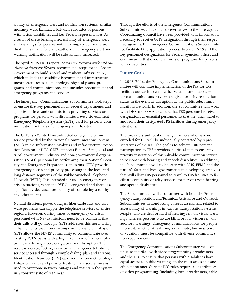sibility of emergency alert and notification systems. Similar meetings were facilitated between advocates of persons with vision disabilities and key Federal representatives. As a result of these briefings, accessibility of emergency alert and warnings for persons with hearing, speech and vision disabilities in any federally-authorized emergency alert and warning notification will be substantially increased.

The April 2005 NCD report, *Saving Lives: Including People with Disabilities in Emergency Planning*, recommends steps for the Federal Government to build a solid and resilient infrastructure, which includes accessibility. Recommended infrastructure incorporates access to technology, physical plants, programs, and communications, and includes procurement and emergency programs and services.

The Emergency Communications Subcommittee took steps to ensure that key personnel in all Federal departments and agencies, offices and commissions providing services or programs for persons with disabilities have a Government Emergency Telephone System (GETS) card for priority communication in times of emergency and disaster.

The GETS is a White House-directed emergency phone service provided by the National Communications System (NCS) in the Information Analysis and Infrastructure Protection Division of DHS. GETS supports Federal, State, local and tribal government, industry and non-governmental organization (NGO) personnel in performing their National Security and Emergency Preparedness missions. GETS provides emergency access and priority processing in the local and long distance segments of the Public Switched Telephone Network (PSTN). It is intended for use in emergency or crisis situations, when the PSTN is congested and there is a significantly decreased probability of completing a call by any other means.

Natural disasters, power outages, fiber cable cuts and software problems can cripple the telephone services of entire regions. However, during times of emergency or crisis, personnel with NS/EP missions need to be confident that their calls will go through. GETS addresses this need. Using enhancements based on existing commercial technology, GETS allows the NS/EP community to communicate over existing PSTN paths with a high likelihood of call completion, even during severe congestion and disruption. The result is a cost-effective, easy-to-use emergency telephone service accessed through a simple dialing plan and Personal Identification Number (PIN) card verification methodology. Enhanced routes and priority treatment are several means used to overcome network outages and maintain the system in a constant state of readiness.

Through the efforts of the Emergency Communications Subcommittee, all agency representatives to the Interagency Coordinating Council have been provided with information necessary to receive GETS designation through their respective agencies. The Emergency Communications Subcommittee facilitated the application process between NCS and the key personnel designations for Federal agencies, offices and commissions that oversee services or programs for persons with disabilities.

#### **Future Goals**

In 2005-2006, the Emergency Communications Subcommittee will continue implementation of the TSP for TRS facilities outreach to ensure that valuable and necessary telecommunications services are given priority restoration status in the event of disruption to the public telecommunications network. In addition, the Subcommittee will work with DHS and FEMA to ensure that TRS personnel receive designations as essential personnel so that they may travel to and from their designated TRS facilities during emergency situations.

TRS providers and local exchange carriers who have not enrolled for TSP will be individually contacted by representatives of the ICC. The goal is to achieve 100 percent participation by TRS providers, a critical step to ensuring priority restoration of this valuable communication service to persons with hearing and speech disabilities. In addition, the Subcommittee will collaborate with DHS, FEMA and the nation's State and local governments in developing strategies that will allow TRS personnel to travel to TRS facilities to facilitate continuity of relay services for persons with hearing and speech disabilities.

The Subcommittee will also partner with both the Emergency Transportation and Technical Assistance and Outreach Subcommittees in conducting a needs assessment related to accessibility of warnings in various transportation systems. People who are deaf or hard of hearing rely on visual warnings whereas persons who are blind or low-vision rely on auditory warnings. Emergency communications for people in transit, whether it is during a commute, business travel or vacation, must be compatible with diverse communication requirements.

The Emergency Communications Subcommittee will continue to interface with video programming broadcasters and the FCC to ensure that persons with disabilities have equal access to public warnings in the most accessible and efficient manner. Current FCC rules require all distributors of video programming (including local broadcasters, cable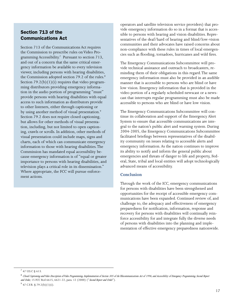#### Section 713 of the Communications Act

Section 713 of the Communications Act requires the Commission to prescribe rules on Video Programming Accessibility.<sup>7</sup> Pursuant to section 713, and out of a concern that the same critical emergency information be available to every television viewer, including persons with hearing disabilities, the Commission adopted section 79.2 of the rules.<sup>8</sup> Section  $79.2(b)(1)(i)$  requires that video programming distributors providing emergency information in the audio portion of programming "must" provide persons with hearing disabilities with equal access to such information as distributors provide to other listeners, either through captioning or by using another method of visual presentation.<sup>9</sup> Section 79.2 does not require closed captioning, but allows for other methods of visual presentation, including, but not limited to open captioning, crawls or scrolls. In addition, other methods of visual presentation could include maps, signs and charts, each of which can communicate emergency information to those with hearing disabilities. The Commission has mandated equal accessibility because emergency information is of "equal or greater importance to persons with hearing disabilities, and television plays a critical role in its dissemination." Where appropriate, the FCC will pursue enforcement actions.

operators and satellite television service providers) that provide emergency information do so in a format that is accessible to persons with hearing and vision disabilities. Representatives of the deaf/hard of hearing and blind/low-vision communities and their advocates have raised concerns about non-compliance with these rules in times of local emergencies such as flooding, tornadoes, hurricanes and wild fires.

The Emergency Communications Subcommittee will provide technical assistance and outreach to broadcasters, reminding them of their obligations in this regard. The same emergency information must also be provided in an audible manner that is accessible to persons who are blind or have low vision. Emergency information that is provided in the video portion of a regularly scheduled newscast or a newscast that interrupts regular programming must also be made accessible to persons who are blind or have low vision.

The Emergency Communications Subcommittee will continue its collaboration and support of the Emergency Alert System to ensure that accessible communications are integral to the nation's public alert and warning system. During 2004-2005, the Emergency Communications Subcommittee facilitated briefings between representatives of the disability community on issues relating to accessible alerts and emergency information. As the nation continues to improve its ability to notify and inform the general public about emergencies and threats of danger to life and property, Federal, State, tribal and local entities will adopt technologically advanced means of accessibility.

#### **Conclusion**

Through the work of the ICC, emergency communications for persons with disabilities have been strengthened and opportunities for the receipt of accessible emergency communications have been expanded. Continued review of, and challenge to, the adequacy and effectiveness of emergency preparedness for notification, information, response and recovery for persons with disabilities will continually reinforce accessibility for and integrate fully the diverse needs of persons with disabilities into the planning and implementation of effective emergency preparedness nationwide.

 $7$  47 U.S.C § 613.

<sup>8</sup> *Closed Captioning and Video Description of Video Programming, Implementation of Section 305 of the Telecommunications Act of 1996, and Accessibility of Emergency Programming, Second Report and Order,* 15 FCC Rcd 6615, 6621-22, para. 12 (2000) ("*Second Report and Order*").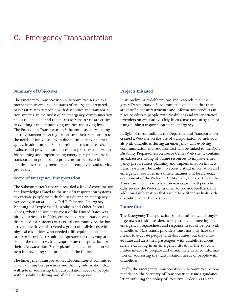### <span id="page-19-0"></span>C. Emergency Transportation

#### **Summary of Objectives**

The Emergency Transportation Subcommittee serves as a mechanism to evaluate the status of emergency preparedness as it relates to people with disabilities and transportation systems. In the midst of an emergency, communication about the incident and the means to remain safe are critical to avoiding panic, minimizing injuries and saving lives. The Emergency Transportation Subcommittee is evaluating existing transportation regulations and their relationship to the needs of individuals with disabilities during an emergency. In addition, the Subcommittee plans to research, evaluate and provide examples of best practices and systems for planning and implementing emergency preparedness transportation policies and programs for people with disabilities, their family members, their employers and service providers.

#### **Scope of Emergency Transportation**

The Subcommittee's research revealed a lack of coordination and knowledge related to the use of transportation systems to evacuate people with disabilities during an emergency. According to an article by Carl T. Cameron, Emergency Planning for People with Disabilities and Other Special Needs, when the southeast coast of the United States was hit by hurricanes in 2004, emergency transportation was dispatched for residents of a coastal community. As the bus arrived, the driver discovered a group of individuals with physical disabilities who needed a lift-equipped bus in order to board. As a result, the operator left the group at the side of the road to wait for appropriate transportation for their safe evacuation. Better planning and coordination will help in preventing such problems in the future.

The Emergency Transportation Subcommittee is committed to researching best practices and sharing information that will aide in addressing the transportation needs of people with disabilities during and after an emergency.

#### **Projects Initiated**

In its preliminary deliberations and research, the Emergency Transportation Subcommittee concluded that there are insufficient infrastructure and information products in place to educate people with disabilities and transportation providers on evacuating safely from a mass transit system or using public transportation in an emergency.

In light of these findings, the Department of Transportation created a Web site on the use of transportation by individuals with disabilities during an emergency. This evolving communication and resource tool will be linked to the ICC's Disability Preparedness Resource Center Web site. It contains an exhaustive listing of online resources to improve emergency preparedness planning and implementation in mass transit systems. The ability to access critical information and emergency resources in a timely manner will be a crucial component of the Web site. Additionally, an expert from the American Public Transportation Association will periodically review the Web site in order to provide feedback and additional information that would benefit individuals with disabilities and other visitors.

#### **Future Goals**

The Emergency Transportation Subcommittee will strongly urge mass transit providers to be proactive in meeting the emergency preparedness and response needs of people with disabilities. Mass transit providers must not only have the means to evacuate people with disabilities, but they must educate and alert their passengers with disabilities about safely evacuating in an emergency situation. The Subcommittee intends to prepare and disseminate detailed information on addressing the transportation needs of people with disabilities.

Finally, the Emergency Transportation Subcommittee recommends that the Secretary of Transportation issue a guidance letter outlining the policy of Executive Order 13347 and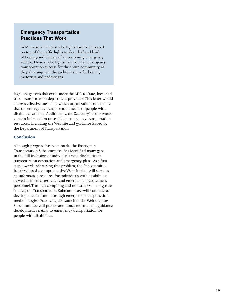#### Emergency Transportation Practices That Work

In Minnesota, white strobe lights have been placed on top of the traffic lights to alert deaf and hard of hearing individuals of an oncoming emergency vehicle. These strobe lights have been an emergency transportation success for the entire community, as they also augment the auditory siren for hearing motorists and pedestrians.

legal obligations that exist under the ADA to State, local and tribal transportation department providers. This letter would address effective means by which organizations can ensure that the emergency transportation needs of people with disabilities are met. Additionally, the Secretary's letter would contain information on available emergency transportation resources, including the Web site and guidance issued by the Department of Transportation.

#### **Conclusion**

Although progress has been made, the Emergency Transportation Subcommittee has identified many gaps in the full inclusion of individuals with disabilities in transportation evacuation and emergency plans. As a first step towards addressing this problem, the Subcommittee has developed a comprehensive Web site that will serve as an information resource for individuals with disabilities as well as for disaster relief and emergency preparedness personnel. Through compiling and critically evaluating case studies, the Transportation Subcommittee will continue to develop effective and thorough emergency transportation methodologies. Following the launch of the Web site, the Subcommittee will pursue additional research and guidance development relating to emergency transportation for people with disabilities.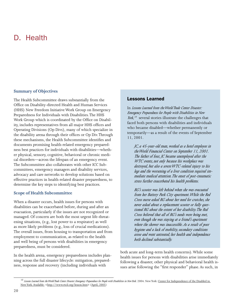### <span id="page-21-0"></span>D. Health

#### **Summary of Objectives**

The Health Subcommittee draws substantially from the Office on Disability-directed Health and Human Services (HHS) New Freedom Initiative Work Group on Emergency Preparedness for Individuals with Disabilities. The HHS Work Group which is coordinated by the Office on Disability, includes representatives from all major HHS offices and Operating Divisions (Op Divs), many of which specialize in the disability arena through their offices or Op Div. Through these mechanisms, the Health Subcommittee identifies and documents promising health-related emergency preparedness best practices for individuals with disabilities—whether physical, sensory, cognitive, behavioral or chronic medical disorders—across the lifespan of an emergency event. The Subcommittee also collaborates with other ICC Subcommittees, emergency managers and disability services, advocacy and care networks to develop solutions based on effective practices in health-related disaster preparedness, to determine the key steps to identifying best practices.

#### **Scope of Health Subcommittee**

When a disaster occurs, health issues for persons with disabilities can be exacerbated before, during and after an evacuation, particularly if the issues are not recognized or managed. Of concern are both the most urgent life-threatening situations, (e.g., lost power to a respirator) as well as more likely problems (e.g., loss of crucial medications). The overall issues, from housing to transportation and from employment to communication, as related to the health and well being of persons with disabilities in emergency preparedness, must be considered.

In the health arena, emergency preparedness includes planning across the full disaster lifecycle: mitigation, preparedness, response and recovery (including individuals with

#### Lessons Learned

In *Lessons Learned from the World Trade Center Disaster: Emergency Preparedness for People with Disabilities in New York,*<sup>10</sup> several stories illustrate the challenges that faced both persons with disabilities and individuals who became disabled—whether permanently or temporarily—as a result of the events of September 11, 2001.

*JC, a 45-year-old man, worked as a hotel employee in the World Financial Center on September 11, 2001. The father of four, JC became unemployed after the WTC events, not only because his workplace was destroyed, but also a severe WTC-related injury to his legs and the worsening of a liver condition required immediate medical attention. The onset of post-traumatic stress further exacerbated his health problems.*

*RG's scooter was left behind when she was evacuated from her Battery Park City apartment. While the Red Cross nurse asked RG about her need for crutches, she never asked about a replacement scooter or fully questioned RG about the extent of her disability. The Red Cross believed that all of RG's needs were being met, even though she was staying at a friend's apartment where the shower was inaccessible. As a result of poor hygiene and a lack of mobility, secondary conditions arose and went untreated; her health and independence both declined substantially.* 

both acute and long-term health concerns). While some health issues for persons with disabilities arise immediately following a disaster, other physical and behavioral health issues arise following the "first responder" phase. As such, in

<sup>&</sup>lt;sup>10</sup> Lessons Learned from the World Trade Center Disaster: Emergency Preparedness for People with Disabilities in New York. 2004. New York: <u>Center for Independence of the Disabled in</u> New York. Available: <http://www.rtcil.org/lesson.htm> (April, 2005)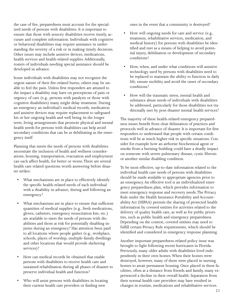the case of fire, preparedness must account for the specialized needs of persons with disabilities. It is important to ensure that those with sensory disabilities receive timely, accurate and complete information. Individuals with cognitive or behavioral disabilities may require assistance in understanding the severity of a risk or in making timely decisions. Other issues may include assistive devices, medications, health services and health-related supplies. Additionally, rosters of individuals needing special assistance should be developed in advance.

Some individuals with disabilities may not recognize the urgent nature of their fire-related burns; others may be unable to feel the pain. Unless first responders are attuned to the impact a disability may have on perceptions of pain or urgency of care (e.g., persons with paralysis or those with cognitive disabilities) many might delay treatment. During an emergency an individual's medical records, medication and assistive devices may require replacement to safeguard his or her ongoing health and well being. In the longer term, living arrangements that promote physical and mental health needs for persons with disabilities can help avoid secondary conditions that can be as debilitating as the emergency itself.

Planning that meets the needs of persons with disabilities necessitate the inclusion of health and wellness considerations; housing, transportation, evacuation and employment can each affect health, for better or worse. There are several health care related questions worth answering before disaster strikes:

- What mechanisms are in place to effectively identify the specific health-related needs of each individual with a disability in advance, during and following an emergency?
- What mechanisms are in place to ensure that sufficient quantities of medical supplies (e.g., fresh medications, gloves, catheters, emergency resuscitation kits, etc.) are available to meet the needs of persons with disabilities and those at risk for potentially disabling injuries during an emergency? Has attention been paid to all locations where people gather (e.g., workplace, schools, places of worship, multiple-family dwellings and other locations that would provide sheltering services)?
- How can medical records be obtained that enable persons with disabilities to receive health care and sustained rehabilitation during all phases of disaster to preserve individual health and function?
- Who will assist persons with disabilities in locating their current health care providers or finding new

ones in the event that a community is destroyed?

- How will ongoing needs for care and service (e.g., treatment, rehabilitative services, medication, and medical history) for persons with disabilities be identified and met as a means of helping to avoid potential injury, debilitation or development of secondary conditions?
- How, when, and under what conditions will assistive technology used by persons with disabilities need to be replaced to maintain the ability to function in daily life, ensure mobility and avoid the onset of secondary conditions?
- How will the traumatic stress, mental health and substance abuse needs of individuals with disabilities be addressed, particularly for those disabilities not traditionally met by post-disaster mental health services?

The majority of these health-related emergency preparedness issues benefit from clear delineation of practices and protocols well in advance of disaster. It is important for first responders to understand that people with certain conditions will be at much higher risk in specific situations. Consider for example how an airborne biochemical agent or smoke from a burning building could have a deadly impact on someone with severe pulmonary disease, cystic fibrosis or another similar disabling condition.

To be most effective, up-to-date information related to the individual health care needs of persons with disabilities should be made available to appropriate agencies prior to an emergency. An effective tool is an individualized emergency preparedness plan, which provides information to meet emergency response and recovery needs. The Privacy Rule under the Health Insurance Portability and Accountability Act (HIPAA) permits the sharing of protected health information by covered entities for activities related to the delivery of quality health care, as well as for public priorities, such as public health and emergency preparedness. Depending on the context, covered entities may need to fulfill certain Privacy Rule requirements, which should be identified and considered in emergency response planning.

Another important preparedness-related policy issue was brought to light following recent hurricanes in Florida. Previously, many older adults with disabilities lived independently in their own homes. When their homes were destroyed, however, many of them were placed in nursing homes to await permanent housing. Once placed in these facilities, often at a distance from friends and family, many experienced a decline in their overall health. Separation from their normal health care providers may have resulted in changes in routine, medications and rehabilitative services.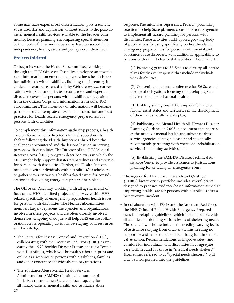Some may have experienced disorientation, post-traumatic stress disorder and depression without access to the post-disaster mental health services available to the broader community. Disaster planning encompassing special attention to the needs of these individuals may have preserved their independence, health, assets and perhaps even their lives.

#### **Projects Initiated**

To begin its work, the Health Subcommittee, working through the HHS Office on Disability, developed an inventory of information on emergency preparedness health issues for individuals with disabilities. Building this inventory included a literature search, disability Web site review, conversations with State and private sector leaders and experts in disaster recovery for persons with disabilities, suggestions from the Citizen Corps and information from other ICC Subcommittees. This inventory of information will become part of an overall template of available information and best practices for health-related emergency preparedness for persons with disabilities.

To complement this information-gathering process, a health care professional who directed a Federal special needs shelter following the Florida hurricanes shared both the challenges encountered and the lessons learned in serving persons with disabilities. The Director of the HHS Medical Reserve Corps (MRC) program described ways in which the MRC might help support disaster preparedness and response for persons with disabilities. Further, the Health Subcommittee met with individuals with disabilities/stakeholders to gather views on various health-related issues for consideration in developing emergency preparedness plans.

The Office on Disability, working with all agencies and offices of the HHS identified projects underway within HHS related specifically to emergency preparedness health issues for persons with disabilities. The Health Subcommittee members largely represent the agencies and organizations involved in these projects and are often directly involved themselves. Ongoing dialogue will help HHS ensure collaboration across operating divisions, leveraging both resources and knowledge.

- The Centers for Disease Control and Prevention (CDC), collaborating with the American Red Cross (ARC), is updating the 1990 booklet Disaster Preparedness for People with Disabilities, which will be available both in print and online as a resource to persons with disabilities, families and other concerned individuals and organizations.
- The Substance Abuse Mental Health Services Administration (SAMHSA) instituted a number of initiatives to strengthen State and local capacity for all-hazard disaster mental health and substance abuse

response. The initiatives represent a Federal "promising practice" to help State planners coordinate across agencies to implement all-hazard planning for persons with disabilities. These activities build upon a growing body of publications focusing specifically on health-related emergency preparedness for persons with mental and substance abuse disorders, with additional applicability to persons with other behavioral disabilities. These include:

(1) Providing grants to 35 States to develop all-hazard plans for disaster response that include individuals with disabilities;

(2) Convening a national conference for 56 State and territorial delegations focusing on developing State disaster plans for behavioral health;

(3) Holding six regional follow-up conferences to further assist States and territories in the development of their inclusive all-hazards plan;

(4) Publishing the Mental Health All-Hazards Disaster Planning Guidance in 2003, a document that addresses the needs of mental health and substance abuse service agencies during a disaster and specifically recommends partnering with vocational rehabilitation services in planning activities; and

(5) Establishing the SAMHSA Disaster Technical Assistance Center to provide assistance to jurisdictions planning for or facing an emergency event.

- The Agency for Healthcare Research and Quality's (AHRQ) bioterrorism portfolio includes several grants designed to produce evidence-based information aimed at improving health care for persons with disabilities after a bioterrorism incident.
- In collaboration with FEMA and the American Red Cross, the HHS Office of Public Health Emergency Preparedness is developing guidelines, which include people with disabilities, for defining various levels of sheltering needs. The shelters will house individuals needing varying levels of assistance ranging from disaster victims needing no support or assistance to persons requiring full time medical attention. Recommendations to improve safety and comfort for individuals with disabilities in congregate care facilities and for those in "medical needs shelters" (sometimes referred to as "special needs shelters") will also be incorporated into the guidelines.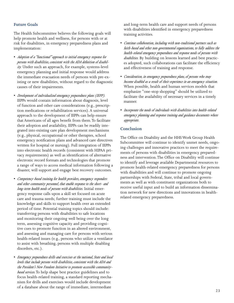#### **Future Goals**

The Health Subcommittee believes the following goals will help promote health and wellness, for persons with or at risk for disabilities, in emergency preparedness plans and implementation:

- *Adoption of a "functional" approach to initial emergency response for persons with disabilities, consistent with the ADA definition of disability.* Under such an approach, for example, systems-level emergency planning and initial response would address the immediate evacuation needs of persons with pre-existing or new disabilities, without regard to the diagnostic causes of their impairments.
- *Development of individualized emergency preparedness plans (IEPP)*. IEPPs would contain information about diagnosis, level of function and other care considerations (e.g., prescription medications or rehabilitation services). A universal approach to the development of IEPPs can help ensure that Americans of all ages benefit from them. To facilitate their adoption and availability, IEPPs can be readily integrated into existing care plan development mechanisms (e.g., physical, occupational or other therapies, school emergency notification plans and advanced care directives written for hospital or nursing). Full integration of IEPPs into electronic health records (consistent with HIPAA privacy requirements) as well as identification of alternative electronic record formats and technologies that promote a range of ways to access medical information following a disaster, will support and engage best recovery outcomes.
- *Competency-based training for health providers, emergency responders and other community personnel, that enable response to the short- and long-term health needs of persons with disabilities.* Initial emergency response calls upon a skill set focused on acute care and trauma needs; further training must include the knowledge and skills to support health over an extended period of time. Potential training topics should include: transferring persons with disabilities to safe locations and monitoring their ongoing well being over the long term, assessing cognitive capacity and providing cognitive cues to promote function in an altered environment, and assessing and managing care for persons with serious health-related issues (e.g., persons who utilize a ventilator to assist with breathing, persons with multiple disabling disorders, etc.).
- *Emergency preparedness drills and exercises at the national, State and local levels that include persons with disabilities, consistent with the ADA and the President's New Freedom Initiative to promote accessible communitybased services.* To help shape best practice guidelines and to focus health-related training, a standard reporting mechanism for drills and exercises would include development of a database about the range of immediate, intermediate

and long-term health care and support needs of persons with disabilities identified in emergency preparedness training activities.

- *Continue collaboration, including with non-traditional partners such as faith-based and other non-governmental organizations, to fully address the health-related emergency preparedness and response needs of persons with disabilities.* By building on lessons learned and best practices adopted, such collaborations can facilitate the efficiency and effectiveness of training and response.
- *Consideration, in emergency preparedness plans, of persons who may become disabled as a result of their experience in an emergency situation.* When possible, health and human services models that emphasize "one-stop shopping" should be utilized to facilitate the availability of necessary services in a timely manner.
- *Incorporate the needs of individuals with disabilities into health-related emergency planning and response training and guidance documents where appropriate.*

#### **Conclusion**

The Office on Disability and the HHS Work Group Health Subcommittee will continue to identify unmet needs, ongoing challenges and innovative practices to meet the requirements of persons with disabilities in emergency preparedness and intervention. The Office on Disability will continue to identify and leverage available Departmental resources to promote health-related emergency preparedness for persons with disabilities and will continue to promote ongoing partnerships with Federal, State, tribal and local governments as well as with constituent organizations both to receive useful input and to build an information dissemination network for new directions and innovations in healthrelated emergency preparedness.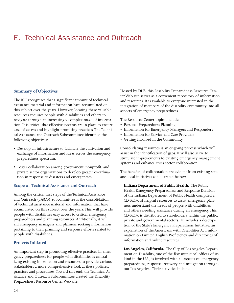### <span id="page-25-0"></span>E. Technical Assistance and Outreach

#### **Summary of Objectives**

The ICC recognizes that a significant amount of technical assistance material and information have accumulated on this subject over the years. However, locating these valuable resources requires people with disabilities and others to navigate through an increasingly complex maze of information. It is critical that effective systems are in place to ensure ease of access and highlight promising practices. The Technical Assistance and Outreach Subcommittee identified the following objectives:

- Develop an infrastructure to facilitate the cultivation and exchange of information and ideas across the emergency preparedness spectrum.
- Foster collaboration among government, nonprofit, and private sector organizations to develop greater coordination in response to disasters and emergencies.

#### **Scope of Technical Assistance and Outreach**

Among the critical first steps of the Technical Assistance and Outreach (TA&O) Subcommittee is the consolidation of technical assistance material and information that have accumulated on this subject over the years. This will provide people with disabilities easy access to critical emergency preparedness and planning resources. Additionally, it will aid emergency managers and planners seeking information pertaining to their planning and response efforts related to people with disabilities.

#### **Projects Initiated**

An important step in promoting effective practices in emergency preparedness for people with disabilities is centralizing existing information and resources to provide various stakeholders a more comprehensive look at these policies, practices and procedures. Toward this end, the Technical Assistance and Outreach Subcommittee created the Disability Preparedness Resource Center Web site.

Hosted by DHS, this Disability Preparedness Resource Center Web site serves as a convenient repository of information and resources. It is available to everyone interested in the integration of members of the disability community into all aspects of emergency preparedness.

The Resource Center topics include:

- Personal Preparedness Planning
- Information for Emergency Managers and Responders
- Information for Service and Care Providers
- Getting Involved in the Community

Consolidating resources is an ongoing process which will assist in the identification of gaps. It will also serve to stimulate improvements to existing emergency management systems and enhance cross sector collaboration.

The benefits of collaboration are evident from existing state and local initiatives as illustrated below:

**Indiana Department of Public Health.** The Public Health Emergency Preparedness and Response Division of the Indiana Department of Public Health compiled a CD-ROM of helpful resources to assist emergency planners understand the needs of people with disabilities and others needing assistance during an emergency. This CD-ROM is distributed to stakeholders within the public, private and governmental sectors. It includes a description of the State's Emergency Preparedness Initiative, an explanation of the Americans with Disabilities Act, information on Limited English Proficiency and directories of information and online resources.

**Los Angeles, California.** The City of Los Angeles Department on Disability, one of the few municipal offices of its kind in the U.S., is involved with all aspects of emergency preparedness, response, recovery and mitigation throughout Los Angeles. Their activities include: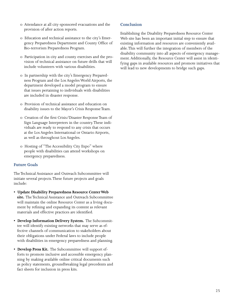- o Attendance at all city-sponsored evacuations and the provision of after action reports.
- o Education and technical assistance to the city's Emergency Preparedness Department and County Office of Bio-terrorism Preparedness Program.
- o Participation in city and county exercises and the provision of technical assistance on future drills that will include volunteers with various disabilities.
- o In partnership with the city's Emergency Preparedness Program and the Los Angeles World Airports, the department developed a model program to ensure that issues pertaining to individuals with disabilities are included in disaster response.
- o Provision of technical assistance and education on disability issues to the Mayor's Crisis Response Team.
- o Creation of the first Crisis/Disaster Response Team of Sign Language Interpreters in the country. These individuals are ready to respond to any crisis that occurs at the Los Angeles International or Ontario Airports, as well as throughout Los Angeles.
- o Hosting of "The Accessibility City Expo" where people with disabilities can attend workshops on emergency preparedness.

#### **Future Goals**

The Technical Assistance and Outreach Subcommittee will initiate several projects. These future projects and goals include:

- **Update Disability Preparedness Resource Center Web site.** The Technical Assistance and Outreach Subcommittee will maintain the online Resource Center as a living document by refining and expanding its content as relevant materials and effective practices are identified.
- **Develop Information Delivery System.** The Subcommittee will identify existing networks that may serve as effective channels of communication to stakeholders about their obligations under Federal laws to include people with disabilities in emergency preparedness and planning.
- **Develop Press Kit.** The Subcommittee will support efforts to promote inclusive and accessible emergency planning by making available online critical documents such as policy statements, groundbreaking legal precedents and fact sheets for inclusion in press kits.

#### **Conclusion**

Establishing the Disability Preparedness Resource Center Web site has been an important initial step to ensure that existing information and resources are conveniently available. This will further the integration of members of the disability community into all aspects of emergency management. Additionally, the Resource Center will assist in identifying gaps in available resources and promote initiatives that will lead to new developments to bridge such gaps.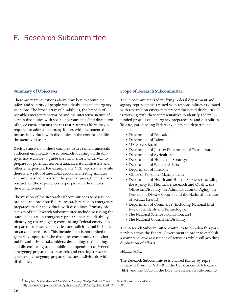## <span id="page-27-0"></span>F. Research Subcommittee

#### **Summary of Objectives**

There are many questions about how best to secure the safety and security of people with disabilities in emergency situations. The broad array of disabilities, the breadth of possible emergency scenarios and the interactive nature of certain disabilities with social environments (and disruption of those environments) means that research efforts may be required to address the many factors with the potential to impact individuals with disabilities in the context of a lifethreatening disaster.

Decisive answers to these complex issues remain uncertain. Sufficient empirically-based research focusing on disability is not available to guide the many efforts underway to prepare for potential terrorist attacks, natural disasters and other emergencies. For example, the NCD reports that while there is a wealth of anecdotal accounts, meeting minutes and unpublished reports in the popular press, there is scarce research on the experiences of people with disabilities in disaster activities.<sup>11</sup>

The mission of the Research Subcommittee is to assess, coordinate and promote Federal research related to emergency preparedness for individuals with disabilities. Primary objectives of the Research Subcommittee include: assessing the state-of-the-art on emergency preparedness and disability, identifying research gaps; coordinating Federal emergency preparedness research activities; and soliciting public input on an as needed basis. This includes, but is not limited to, gathering input from the disability community and other public and private stakeholders, developing, maintaining and disseminating to the public a compendium of Federal emergency preparedness research, and creating a research agenda on emergency preparedness and individuals with disabilities.

#### **Scope of Research Subcommittee**

The Subcommittee is identifying Federal department and agency representatives vested with responsibilities associated with research on emergency preparedness and disabilities. It is working with these representatives to identify Federallyfunded projects on emergency preparedness and disabilities. To date, participating Federal agencies and departments include:

- Department of Education;
- Department of Labor;
- U.S. Access Board;
- Department of Justice; Department of Transportation;
- Department of Agriculture;
- Department of Homeland Security;
- Department of Veterans Affairs;
- Department of Interior;
- Office of Personnel Management;
- Department of Health and Human Services (including the Agency for Healthcare Research and Quality, the Office on Disability, the Administration on Aging, the Centers for Disease Control, and the National Institute of Mental Health);
- Department of Commerce (including National Institute of Standards and Technology);
- The National Science Foundation; and
- The National Council on Disability.

The Research Subcommittee continues to broaden this partnership across the Federal Government in order to establish a comprehensive assessment of activities while still avoiding duplication of efforts.

#### *Administration*

The Research Subcommittee is chaired jointly by representatives from the NIDRR in the Department of Education (ED), and the ODEP in the DOL. The Research Subcommit-

<sup>11</sup> *Saving Lives: Including People with Disabilities in Emergency Planning.* National Council on Disability Web site. Available

<sup>&</sup>lt;http://www.ncd.gov/newsroom/publications/2005/saving\_lives.htm> (May, 2005).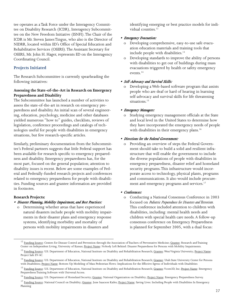tee operates as a Task Force under the Interagency Committee on Disability Research (ICDR), Interagency Subcommittee on the New Freedom Initiative (ISNFI). The Chair of the ICDR is Mr. Steven James Tingus, who also is the Director of NIDRR, located within ED's Office of Special Education and Rehabilitative Services (OSERS). The Assistant Secretary for OSERS, Mr. John H. Hager, represents ED on the Interagency Coordinating Council.

#### **Projects Initiated**

The Research Subcommittee is currently spearheading the following initiatives:

#### **Assessing the State-of-the-Art in Research on Emergency Preparedness and Disability**

The Subcommittee has launched a number of activities to assess the state-of-the-art in research on emergency preparedness and disability. An initial scan of several engineering, education, psychology, medicine and other databases yielded numerous "how to" guides, checklists, reviews of legislation, conference proceedings and catalogs of technologies useful for people with disabilities in emergency situations, but few research-specific articles.

Similarly, preliminary documentation from the Subcommittee's Federal partners suggests that little Federal support has been available for research specific to emergency preparedness and disability. Emergency preparedness has, for the most part, focused on the general population; attention to disability issues is recent. Below are some examples of Federal and Federally-funded research projects and conferences related to emergency preparedness for people with disabilities. Funding sources and grantee information are provided in footnotes.

#### **Research Projects:**

#### *• Disaster Planning, Mobility Impairment, and Best Practices:*

o Determining whether areas that have experienced natural disasters include people with mobility impairments in their disaster plans and emergency response systems, identifying morbidity and mortality of persons with mobility impairments in disasters and

identifying emerging or best practice models for individual counties.<sup>12</sup>

#### *• Emergency Evacuation:*

- Developing comprehensive, easy-to-use safe evacuation education materials and training tools that include people with disabilities.<sup>13</sup>
- o Developing standards to improve the ability of persons with disabilities to get out of buildings during mass evacuations triggered by health or safety emergency events.14

#### *• Self-Advocacy and Survival Skills:*

o Developing a Web-based software program that assists people who are deaf or hard of hearing in learning self-advocacy and survival skills for life threatening situations.<sup>15</sup>

#### *• Emergency Managers:*

Studying emergency management officials at the State and local level in the United States to determine how they have incorporated the emergency needs of people with disabilities in their emergency plans.<sup>16</sup>

#### *• Directions for the Federal Government:*

o Providing an overview of steps the Federal Government should take to build a solid and resilient infrastructure that will enable the government to include the diverse populations of people with disabilities in emergency preparedness, disaster relief and homeland security programs. This infrastructure would incorporate access to technology, physical plants, programs and communications. It also would include procurement and emergency programs and services.<sup>17</sup>

#### *• Conferences:*

o Conducting a National Consensus Conference in 2003 focused on *Pediatric Preparedness for Disasters and Terrorism*. This conference included attention to children with disabilities, including: mental health needs and children with special health care needs. A follow-up consensus conference on Emergency Preparedness is planned for September 2005, with a dual focus:

<sup>&</sup>lt;sup>12</sup> Funding Source: Centers for Disease Control and Prevention through the Association of Teachers of Preventative Medicine; Grantee: Research and Training Center on Independent Living, University of Kansas; Project Name: Nobody Left Behind: Disaster Preparedness for Persons with Mobility Impairments.

<sup>&</sup>lt;sup>13</sup> Funding Source: U.S. Department of Education, National Institute on Disability and Rehabilitation Research; Grantee: West Virginia University; Project Name: Project Safe EV-AC.

<sup>&</sup>lt;sup>14</sup> Funding Source: U.S. Department of Education, National Institute on Disability and Rehabilitation Research; Grantee: Utah State University Center for Persons with Disabilities; Project Name: Bottom-Up Modeling of Mass Pedestrian Flows: Implications for the Effective Egress of Individuals with Disabilities

<sup>&</sup>lt;sup>15</sup> Funding Source: U.S. Department of Education, National Institute on Disability and Rehabilitation Research; Grantee: Vcom3D, Inc; Project Name: Emergency Preparedness Training Software with Universal Access.

<sup>&</sup>lt;sup>16</sup> Funding Source: U.S. Department of Homeland Security; Grantee: National Organization on Disability; Project Name: Emergency Preparedness Survey.

<sup>&</sup>lt;sup>17</sup> Funding Source: National Council on Disability; Grantee: June Isaacson Kailes; Project Name: Saving Lives: Including People with Disabilities In Emergency Planning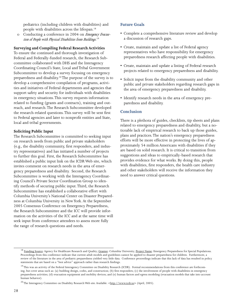pediatrics (including children with disabilities) and people with disabilities across the lifespan.18

o Conducting a conference in 2004 on *Emergency Evacuation of People with Physical Disabilities from Buildings*. 19

#### **Surveying and Compiling Federal Research Activities**

To ensure the continued and thorough investigation of Federal and Federally-funded research, the Research Subcommittee collaborated with DHS and the Interagency Coordinating Council's State, Local and Tribal Government Subcommittee to develop a survey focusing on emergency preparedness and disability.<sup>20</sup> The purpose of the survey is to develop a comprehensive compilation of programs, activities and initiatives of Federal departments and agencies that support safety and security for individuals with disabilities in emergency situations. This survey requests information related to funding (grants and contracts), training and outreach, and research. The Research Subcommittee developed the research-related questions. This survey will be sent first to Federal agencies and later to nonprofit entities and State, local and tribal governments.

#### **Soliciting Public Input**

The Research Subcommittee is committed to seeking input on research needs from public and private stakeholders (e.g., the disability community, first responders, and industry representatives) and has initiated a number of projects to further this goal. First, the Research Subcommittee has established a public input link on the ICDR Web site, which invites comment on research needs in the area of emergency preparedness and disability. Second, the Research Subcommittee is working with the Interagency Coordinating Council's Private Sector Coordination Group to identify methods of securing public input. Third, the Research Subcommittee has established a collaborative effort with Columbia University's National Center on Disaster Preparedness at Columbia University in New York. At the September 2005 Consensus Conference on Emergency Preparedness, the Research Subcommittee and the ICC will provide information on the activities of the ICC and at the same time will seek input from conference attendees to assess more fully the range of research questions and needs.

#### **Future Goals**

- Complete a comprehensive literature review and develop a discussion of research gaps.
- Create, maintain and update a list of Federal agency representatives who have responsibility for emergency preparedness research affecting people with disabilities.
- Create, maintain and update a listing of Federal research projects related to emergency preparedness and disability.
- Solicit input from the disability community and other public and private stakeholders regarding research gaps in the area of emergency preparedness and disability.
- Identify research needs in the area of emergency preparedness and disability.

#### **Conclusion**

There is a plethora of guides, checklists, tip sheets and plans related to emergency preparedness and disability, but a noticeable lack of empirical research to back up those guides, plans and practices. The nation's emergency preparedness efforts will be more effective in protecting the lives of approximately 54 million Americans with disabilities if they are based on solid research. It is critical to transition from suggestions and ideas to empirically-based research that provides evidence for what works. By doing this, people with disabilities, first responders, the health care industry and other stakeholders will receive the information they need to answer critical questions.

<sup>&</sup>lt;sup>18</sup> Funding Source: Agency for Healthcare Research and Quality; Grantee: Columbia University; Project Name: Emergency Preparedness for Special Populations. Proceedings from this conference indicate that current adult models and guidelines cannot be applied to disaster preparedness for children. Furthermore, a review of the literature in the area of pediatric preparedness yielded very little data. Conference proceedings indicate that this lack of data has resulted in policy statements that are based on a "best advice" approach rather than research findings.

<sup>&</sup>lt;sup>19</sup> This was an activity of the Federal Interagency Committee on Disability Research (ICDR). Formal recommendations from this conference are forthcoming, but cover areas such as: (a) building design, codes, and construction; (b) first responders; (c) the involvement of people with disabilities in emergency preparedness activities; (d) evacuation equipment and mobility devices; and (e) human factors and egress modeling (evacuation models that take into account human behavior).

<sup>&</sup>lt;sup>20</sup> The Interagency Committee on Disability Research Web site. Available: <http://www.icdr.us> (April, 2005).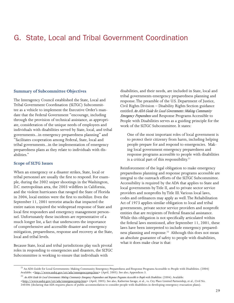### <span id="page-30-0"></span>G. State, Local and Tribal Government Coordination

#### **Summary of Subcommittee Objectives**

The Interagency Council established the State, Local and Tribal Government Coordination (SLTGC) Subcommittee as a vehicle to implement the Executive Order's mandate that the Federal Government "encourage, including through the provision of technical assistance, as appropriate, consideration of the unique needs of employees and individuals with disabilities served by State, local, and tribal governments...in emergency preparedness planning" and "facilitates cooperation among Federal, State, local and tribal governments...in the implementation of emergency preparedness plans as they relate to individuals with disabilities."

#### **Scope of SLTG Issues**

When an emergency or a disaster strikes, State, local or tribal personnel are usually the first to respond. For example, during the 2002 sniper shootings in the Washington, D.C. metropolitan area, the 2003 wildfires in California, and the violent hurricanes that ravaged the State of Florida in 2004, local entities were the first to mobilize. Even the September 11, 2001 terrorist attacks that impacted the entire nation required the widespread response of State and local first responders and emergency management personnel. Unfortunately these incidents are representative of a much longer list, a fact that underscores the importance of comprehensive and accessible disaster and emergency mitigation, preparedness, response and recovery at the State, local and tribal levels.

Because State, local and tribal jurisdictions play such pivotal roles in responding to emergencies and disasters, the SLTGC Subcommittee is working to ensure that individuals with

disabilities, and their needs, are included in State, local and tribal governments emergency preparedness planning and response. The preamble of the U.S. Department of Justice, Civil Rights Division – Disability Rights Section guidance entitled *An ADA Guide for Local Governments: Making Community Emergency Preparedness* and Response Programs Accessible to People with Disabilities serves as a guiding principle for the work of the SLTGC Subcommittee. It states:

One of the most important roles of local government is to protect their citizenry from harm, including helping people prepare for and respond to emergencies. Making local government emergency preparedness and response programs accessible to people with disabilities is a critical part of this responsibility.<sup>21</sup>

Reinforcement of the legal obligation to make emergency preparedness planning and response programs accessible are integral to the outreach efforts of the SLTGC Subcommittee. Accessibility is required by the ADA that applies to State and local governments by Title II, and to private sector service providers and nonprofits by Title III. Various local laws, codes and ordinances may apply as well. The Rehabilitation Act of 1973 applies similar obligation to local and tribal governments, private sector service providers and nonprofit entities that are recipients of Federal financial assistance. While this obligation is not specifically articulated within the federal laws mentioned, after September 11, 2001, these laws have been interpreted to include emergency preparedness planning and response.<sup>22</sup> Although this does not mean an absolute guarantee of safety to people with disabilities, what it does make clear is that:

 $^{21}$  An ADA Guide for Local Governments: Making Community Emergency Preparedness and Response Programs Accessible to People with Disabilities. (2004) Available: <http://www.usdoj.gov/crt/ada/emergencyprep.htm> (April, 2005). See also, Appendices 3.

<sup>22</sup> *An ADA Guide for Local Governments: Making Community Emergency Preparedness and Response Programs Accessible to People with Disabilities.* (2004). Available:

<sup>&</sup>lt;http://www.usdoj.gov/crt/ada/emergencyprep.htm> (April, 2005). See also, Katherine Savage, et al., vs. City Place Limited Partnership, et al., Civil No.

<sup>240306 (</sup>declaring that ADA requires places of public accommodation to consider people with disabilities in developing emergency evacuation plans).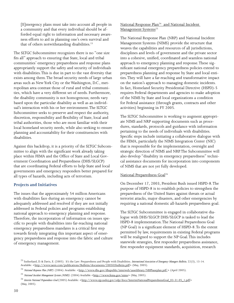[E]mergency plans must take into account all people in a community and that every individual should be afforded equal right to information and necessary awareness efforts to aid in planning one's own survival and that of others notwithstanding disabilities.<sup>23</sup>

The SLTGC Subcommittee recognizes there is no "one size fits all" approach to ensuring that State, local and tribal communities' emergency preparedness and response plans appropriately support the safety and security of individuals with disabilities. This is due in part to the vast diversity that exists among them. The broad security needs of large urban areas such as New York City or the Washington, D.C., metropolitan area contrast those of rural and tribal communities, which have a very different set of needs. Furthermore, the disability community is not homogenous; needs vary based upon the particular disability as well as an individual's interaction with his or her environment. The SLTGC Subcommittee seeks to preserve and respect the authority, discretion, responsibility and flexibility of State, local and tribal authorities, those who are most familiar with their local homeland security needs, while also seeking to ensure planning and accountability for their constituencies with disabilities.

Against this backdrop, it is a priority of the SLTGC Subcommittee to align with the significant work already taking place within FEMA and the Office of State and Local Government Coordination and Preparedness (DHS/SLGCP) that are coordinating Federal efforts to help State and local governments and emergency responders better prepared for all types of hazards, including acts of terrorism.

#### **Projects and Initiatives**

The issues that the approximately 54 million Americans with disabilities face during an emergency cannot be adequately addressed and resolved if they are not initially addressed in Federal policies and programs establishing national approach to emergency planning and response. Therefore, the incorporation of information on issues specific to people with disabilities into far-reaching national emergency preparedness mandates is a critical first step towards firmly integrating this important aspect of emergency preparedness and response into the fabric and culture of emergency management.

#### National Response Plan<sup>24</sup> and National Incident Management Systems<sup>25</sup>

The National Response Plan (NRP) and National Incident Management Systems (NIMS) provide the structure that weaves the capabilities and resources of all jurisdictions, disciplines and levels of government and the private sector into a cohesive, unified, coordinated and seamless national approach to emergency planning and response. These significant national emergency preparedness policies extend to preparedness planning and response by State and local entities. They will have a far-reaching and transformative impact on the nation's approach to managing domestic incidents. In fact, Homeland Security Presidential Directive (HSPD)-5 requires Federal departments and agencies to make adoption of the NIMS by State and local organizations a condition for Federal assistance (through grants, contracts and other activities) beginning in FY 2005.

The SLTGC Subcommittee is working to augment appropriate NIMS and NRP supporting documents such as procedures, standards, protocols and guidance with information pertaining to the needs of individuals with disabilities. Specific steps include initiating a collaborative dialogue with the FEMA, particularly the NIMS Integration Center (NIC) that is responsible for the implementation, oversight and strategic direction of NIMS and NRP. The Subcommittee will also develop "disability in emergency preparedness" technical assistance documents for incorporation into components of NIMS that are not yet fully developed.

#### National Preparedness Goal<sup>26</sup>

On December 17, 2003, President Bush issued HSPD-8. The purpose of HSPD-8 is to establish policies to strengthen the preparedness of the United States against threats or actual terrorist attacks, major disasters, and other emergencies by requiring a national domestic all-hazards preparedness goal.

The SLTGC Subcommittee is engaged in collaborative dialogue with DHS/SLGCP. DHS/SLGCP is tasked to lead the HSPD-8 implementation. The National Preparedness Goal (NP Goal) is a significant element of HSPD-8. To the extent permitted by law, requirements in existing Federal programs will be realigned to support the NP Goal. This includes statewide strategies, first responder preparedness assistance, first responder equipment standards, acquisition, research

<sup>23</sup> Sutherland, D. & Davis, E. (2005). It's the Law: Preparedness and People with Disabilities. *International Association of Emergency Managers Bulletin,* 22(3), 13-14. Available: <http://www.iaem.com/publications/Bulletin/documents/200503bulletin.pdf> (May, 2005).

<sup>&</sup>lt;sup>24</sup> *National Response Plan (NRP)*. (2004): Available: <http://www.dhs.gov/dhspublic/interweb/assetlibrary/NRPbaseplan.pdf > (April 2005).

<sup>&</sup>lt;sup>25</sup> *National Incident Management System (NIMS)*. (2004) Available <http://www.fema.gov/nims> (May, 2005).

<sup>&</sup>lt;sup>26</sup> Interim National Preparedness Goal.(2005) Available: <http://www.ojp.usdoj.gov/odp/docs/InterimNationalPreparednessGoal\_03-31-05\_1.pdf> (May, 2005).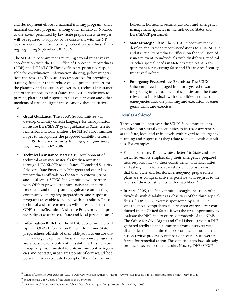and development efforts, a national training program, and a national exercise program, among other initiatives. Notably, to the extent permitted by law, State preparedness strategies will be required to support or be consistent with the NP Goal as a condition for receiving Federal preparedness funding beginning September 30, 2005.

The SLTGC Subcommittee is pursuing several initiatives in coordination with the DHS Office of Domestic Preparedness (ODP) and DHS/SLGCP. These offices are primarily responsible for coordination, information sharing, policy integration and advocacy. They are also responsible for providing training, funds for the purchase of equipment, support for the planning and execution of exercises, technical assistance and other support to assist States and local jurisdictions to prevent, plan for and respond to acts of terrorism and other incidents of national significance. Among these initiatives are:

- **Grant Guidance:** The SLTGC Subcommittee will develop disability criteria language for incorporation in future DHS/SLGCP grant guidance to State, territorial, tribal and local entities. The SLTGC Subcommittee hopes to incorporate the proposed disability criteria in DHS Homeland Security funding grant guidance, beginning with FY 2006.
- **Technical Assistance Materials:** Development of technical assistance materials for dissemination through DHS/SLGCP to the States' Homeland Security Advisors, State Emergency Managers and other key preparedness officials on the State, territorial, tribal and local levels. SLTGC Subcommittee will partner with ODP to provide technical assistance materials, fact sheets and other planning guidance on making community emergency preparedness and response programs accessible to people with disabilities. These technical assistance materials will be available through ODP's online Technical Assistance Program which provides direct assistance to State and local jurisdictions.<sup>27</sup>
- **Information Bulletin:** The SLTGC Subcommittee will tap into ODP's Information Bulletin to remind State preparedness officials of their obligation to ensure that their emergency preparedness and response programs are accessible to people with disabilities. This Bulletin is regularly disseminated to State Administrative Agencies and contacts, urban area points of contact, ad hoc personnel who requested receipt of the information

bulletins, homeland security advisors and emergency management agencies in the individual States and DHS/SLGCP personnel.

- **State Strategic Plan:** The SLTGC Subcommittee will develop and provide recommendations to DHS/SLGCP and its State Preparedness Officers on the inclusion of issues relevant to individuals with disabilities, medical or other special needs in State strategic plans, a requirement for receiving State and Urban Area Security Initiative funding.
- **Emergency Preparedness Exercises:** The SLTGC Subcommittee is engaged in efforts geared toward integrating individuals with disabilities and the issues relevant to individuals with disabilities in times of emergencies into the planning and execution of emergency drills and exercises.

#### **Results Achieved**

Throughout the past year, the SLTGC Subcommittee has capitalized on several opportunities to increase awareness at the State, local and tribal levels with regard to emergency planning and response as they relate to people with disabilities. For example:

- Former Secretary Ridge wrote a letter<sup>28</sup> to State and Territorial Governors emphasizing their emergency preparedness responsibility to their constituents with disabilities and asking them to take several specific steps to ensure that their State and Territorial emergency preparedness plans are as comprehensive as possible with regards to the needs of their constituents with disabilities.<sup>29</sup>
- In April 2005, the Subcommittee sought inclusion of individuals with disabilities as observers of the third Top Officials (TOPOFF 3) exercise sponsored by DHS. TOPOFF 3 was the most comprehensive terrorism exercise ever conducted in the United States. It was the first opportunity to evaluate the NRP and to exercise protocols of the NIMS. The Office for Civil Rights and Civil Liberties within DHS gathered feedback and comments from observers with disabilities then submitted those comments into the after action review process. A number of access issues were referred for remedial action. These initial steps have already produced several positive results. Notably, DHS/SLGCP

<sup>27</sup> Office of Domestic Preparedness HSPD-8 Overview Web site. Available: <http://www.ojp.usdoj.gov/odp/assessments/hspd8.htm> (May 2005).

<sup>28</sup> See Appendix 2 for a copy of the letter to the Governors.

<sup>&</sup>lt;sup>29</sup> ODP Technical Assistance Web site. Available: <http://www.ojp.usdoj.gov/odp/ta.htm> (May 2005).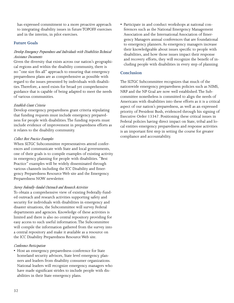has expressed commitment to a more proactive approach to integrating disability issues in future TOPOFF exercises and in the interim, in pilot exercises.

#### **Future Goals**

#### *Develop Emergency Preparedness and Individuals with Disabilities Technical Assistance Documents*

Given the diversity that exists across our nation's geographical regions and within the disability community, there is no "one size fits all" approach to ensuring that emergency preparedness plans are as comprehensive as possible with regard to the issues presented by individuals with disabilities. Therefore, a need exists for broad yet comprehensive guidance that is capable of being adapted to meet the needs of various communities.

#### *Establish Grant Criteria*

Develop emergency preparedness grant criteria stipulating that funding requests must include emergency preparedness for people with disabilities. The funding reports must include evidence of improvement in preparedness efforts as it relates to the disability community.

#### *Collect Best Practice Examples*

When SLTGC Subcommittee representatives attend conferences and communicate with State and local governments, one of their goals is to compile examples of existing activity in emergency planning for people with disabilities. "Best Practice" examples will be widely disseminated through various channels including the ICC Disability and Emergency Preparedness Resource Web site and the Emergency Preparedness NOW newsletter.

#### *Survey Federally-funded Outreach and Research Activities*

To obtain a comprehensive view of existing Federally-funded outreach and research activities supporting safety and security for individuals with disabilities in emergency and disaster situations, the Subcommittee will survey Federal departments and agencies. Knowledge of these activities is limited and there is also no central repository providing for easy access to such useful information. The Subcommittee will compile the information gathered from the survey into a central repository and make it available as a resource on the ICC Disability Preparedness Resource Web site.

#### *Conference Participation*

• Host an emergency preparedness conference for State homeland security advisors, State level emergency planners and leaders from disability consumer organizations. National leaders will recognize emergency managers who have made significant strides to include people with disabilities in their State emergency plans.

• Participate in and conduct workshops at national conferences such as the National Emergency Management Association and the International Association of Emergency Managers annual conferences that are foundational to emergency planners. As emergency managers increase their knowledgeable about issues specific to people with disabilities, and how those issues impact their response and recovery efforts, they will recognize the benefit of including people with disabilities in every step of planning.

#### **Conclusion**

The SLTGC Subcommittee recognizes that much of the nationwide emergency preparedness policies such as NIMS, NRP and the NP Goal are now well established. The Subcommittee nonetheless is committed to align the needs of Americans with disabilities into these efforts as it is a critical aspect of our nation's preparedness, as well as an expressed priority of President Bush, evidenced through his signing of Executive Order 13347. Positioning these critical issues in Federal policies having direct impact on State, tribal and local entities emergency preparedness and response activities is an important first step in setting the course for greater compliance and accountability.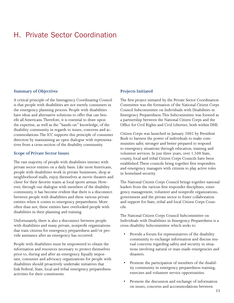### <span id="page-34-0"></span>H. Private Sector Coordination

#### **Summary of Objectives**

A critical principle of the Interagency Coordinating Council is that people with disabilities are not merely consumers in the emergency planning process. People with disabilities have ideas and alternative solutions to offer that can benefit all Americans. Therefore, it is essential to draw upon the expertise, as well as the "hands-on" knowledge, of the disability community in regards to issues, concerns and accommodations. The ICC supports this principle of consumer direction by maintaining an open dialogue with representatives from a cross-section of the disability community.

#### **Scope of Private Sector Issues**

The vast majority of people with disabilities interact with private sector entities on a daily basis. Like most Americans, people with disabilities work in private businesses, shop at neighborhood malls, enjoy themselves at movie theaters and cheer for their favorite teams at local sports arenas. However, through our dialogue with members of the disability community, it has become evident that there is a disconnect between people with disabilities and these various private entities when it comes to emergency preparedness. More often than not, these entities have overlooked people with disabilities in their planning and training.

Unfortunately, there is also a disconnect between people with disabilities and many private, nonprofit organizations that train citizens for emergency preparedness and/or provide assistance after an emergency has occurred.

People with disabilities must be empowered to obtain the information and resources necessary to protect themselves prior to, during and after an emergency. Equally important, consumer and advocacy organizations for people with disabilities should proactively undertake initiatives that link Federal, State, local and tribal emergency preparedness activities for their constituents.

#### **Projects Initiated**

The first project initiated by the Private Sector Coordination Committee was the formation of the National Citizen Corps Council Subcommittee on Individuals with Disabilities in Emergency Preparedness. This Subcommittee was formed as a partnership between the National Citizen Corps and the Office for Civil Rights and Civil Liberties, both within DHS.

Citizen Corps was launched in January 2002 by President Bush to harness the power of individuals to make communities safer, stronger and better prepared to respond to emergency situations through education, training and volunteer services. In just three years, over 1,500 State, county, local and tribal Citizen Corps Councils have been established. These councils bring together first responders and emergency managers with citizens to play active roles in homeland security.

The National Citizen Corps Council brings together national leaders from the various first responder disciplines, emergency management, volunteer and nonprofit organizations, government and the private sector to foster collaboration and support for State, tribal and local Citizen Corps Councils.

The National Citizen Corps Council Subcommittee on Individuals with Disabilities in Emergency Preparedness is a cross-disability Subcommittee which seeks to:

- Provide a forum for representatives of the disability community to exchange information and discuss mutual concerns regarding safety and security in situations involving natural or man-made emergencies and disasters.
- Promote the participation of members of the disability community in emergency preparedness training, exercises and volunteer service opportunities.
- Promote the discussion and exchange of information on issues, concerns and accommodations between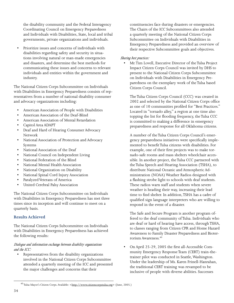the disability community and the Federal Interagency Coordinating Council on Emergency Preparedness and Individuals with Disabilities, State, local and tribal governments, private organizations and individuals.

• Prioritize issues and concerns of individuals with disabilities regarding safety and security in situations involving natural or man-made emergencies and disasters, and determine the best methods for communicating these issues and concerns to relevant individuals and entities within the government and industry.

The National Citizen Corps Subcommittee on Individuals with Disabilities in Emergency Preparedness consists of representatives from a number of national disability consumer and advocacy organizations including:

- American Association of People with Disabilities
- American Association of the Deaf-Blind
- American Association of Mental Retardation
- Capitol Area ADAPT
- Deaf and Hard of Hearing Consumer Advocacy Network
- National Association of Protection and Advocacy Systems
- National Association of the Deaf
- National Council on Independent Living
- National Federation of the Blind
- National Mental Health Association
- National Organization on Disability
- National Spinal Cord Injury Association
- Paralyzed Veterans of America
- United Cerebral Palsy Association

The National Citizen Corps Subcommittee on Individuals with Disabilities in Emergency Preparedness has met three times since its inception and will continue to meet on a quarterly basis.

#### **Results Achieved**

The National Citizen Corps Subcommittee on Individuals with Disabilities in Emergency Preparedness has achieved the following results:

#### *Dialogue and information exchange between disability organizations and the ICC:*

• Representatives from the disability organizations involved in the National Citizen Corps Subcommittee attended a quarterly meeting of the ICC and presented the major challenges and concerns that their

constituencies face during disasters or emergencies. The Chairs of the ICC Subcommittees also attended a quarterly meeting of the National Citizen Corps Subcommittee on Individuals with Disabilities in Emergency Preparedness and provided an overview of their respective Subcommittee goals and objectives.

#### *Sharing best practices:*

• Mr. Tim Lovell, Executive Director of the Tulsa Project Impact Citizen Corps Council was invited by DHS to present to the National Citizen Corps Subcommittee on Individuals with Disabilities in Emergency Preparedness on the exemplary work of the Tulsa based Citizen Corps Council.

The Tulsa Citizen Corps Council (CCC) was created in 2002 and selected by the National Citizen Corps office as one of 10 communities profiled for "Best Practices." Located in "tornado alley," a region at one time also topping the list for flooding frequency, the Tulsa CCC is committed to making a difference in emergency preparedness and response for all Oklahoma citizens.

A number of the Tulsa Citizen Corps Council's emergency preparedness initiatives were specifically implemented to benefit Tulsa citizens with disabilities. For example, one of their first projects was to make tornado-safe rooms and mass shelters wheelchair accessible. In another project, the Tulsa CCC partnered with the Tulsa Speech and Hearing Association (TSHA), to distribute National Oceanic and Atmospheric Administration (NOAA) Weather Radios designed with a flashing strobe light to schools with deaf students. These radios warn staff and students when severe weather is heading their way, increasing their lead time to find shelter. In addition, TSHA has a cadre of qualified sign language interpreters who are willing to respond in the event of a disaster.

The Safe and Secure Program is another program offered to the deaf community of Tulsa. Individuals who are deaf or hard of hearing have access, through TSHA, to classes ranging from Citizen CPR and Home Hazard Awareness to Family Disaster Preparedness and Bioterrorism Awareness.40

• On April 25-29, 2005 the first all-Accessible Community Emergency Response Team (CERT) train-thetrainer pilot was conducted in Seattle, Washington. Under the leadership of Ms. Karen Frinell-Hanrahan, the traditional CERT training was revamped to be inclusive of people with diverse abilities. Successes

<sup>&</sup>lt;sup>40</sup> Tulsa Mayor's Citizen Corps. Available: <http://www.citizencorpstulsa.org> (June, 2005.)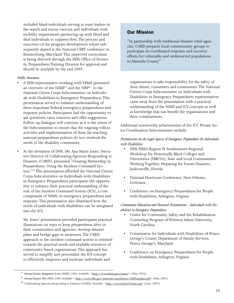included blind individuals serving as team leaders in the search and rescue exercise and individuals with mobility impairments partnering up with blind and deaf individuals to suppress fires. The process and outcomes of the program development where subsequently shared at the National CERT conference in Emmetsburg, Maryland. This improved curriculum is being directed through the DHS Office of Domestic Preparedness Training Division for approval and should be available by the end 2005.

#### *Public Awareness*

- A DHS representative working with FEMA presented an overview of the NIMS<sup>41</sup> and the NRP<sup>42</sup> to the National Citizen Corps Subcommittee on Individuals with Disabilities in Emergency Preparedness. This presentation served to enhance understanding of these important Federal emergency preparedness and response policies. Participants had the opportunity to ask questions, raise concerns and offer suggestions. Follow-up dialogue will continue as it is the intent of the Subcommittee to ensure that the ongoing rollout activities and implementation of these far-reaching national preparedness policies do not overlook the needs of the disability community
- At the invitation of DHS, Ms. Ana-Marie Jones, Executive Director of Collaborating Agencies Responding to Disasters (CARD), presented "Creating Partnership in Preparedness: Using the Incident Command System."43 This presentation afforded the National Citizen Corps Subcommittee on Individuals with Disabilities in Emergency Preparedness participants the opportunity to enhance their practical understanding of the role of the Incident Command System (ICS), a core component of NIMS, in emergency preparedness and response. This presentation also illustrated how the needs of individuals with disabilities can be integrated into the ICS.

Ms. Jones' presentation provided participants practical illustrations on ways to keep preparedness alive in their communities and agencies, develop disaster plans and bridge gaps in awareness. The CARD approach to the incident command system is oriented towards the practical needs and available resources of community-based organizations. This approach has served to simplify and personalize the ICS concept to effectively empower and motivate individuals and

#### Our Mission

"In partnership with traditional disaster relief agencies, CARD prepares local commmunity groups to participate in coordinated response and recovery efforts for vulnerable and underserved populations in Alameda County."

organizations to take responsibility for the safety of their clients, consumers and constituents. The National Citizen Corps Subcommittee on Individuals with Disabilities in Emergency Preparedness representatives came away from the presentation with a practical understanding of the NIMS and ICS concepts as well as knowledge that can benefit the organizations and their constituencies.

Additional noteworthy achievements of the ICC Private Sector Coordination Subcommittee include:

#### *Presentations on the Legal Aspects of Emergency Preparedness for Individuals with Disabilities:*

- DHS FEMA Region IV Southeastern Regional Workshop for Historically Black Colleges and Universities (HBCUs), State and Local Communities: Working Together, Preparing for Future Disasters, Jacksonville, Florida
- National Hurricane Conference, New Orleans, Louisiana
- Conference on Emergency Preparedness for People with Disabilities, Arlington, Virginia

#### *Community Education and Outreach Presentations - Individuals with Disabilities in Emergency Preparedness:*

- Center for Community Safety and the Rehabilitation Counseling Program of Winston Salem University, North Carolina
- Commission for Individuals with Disabilities of Prince George's County Department of Family Services, Prince George's, Maryland
- Conference on Emergency Preparedness for People with Disabilities, Arlington, Virginia

<sup>&</sup>lt;sup>41</sup> *National Incident Management System (NIMS)*, 2004. Available: <http://www.fema.gov/nims/> (May, 2005).

<sup>&</sup>lt;sup>42</sup> *National Response Plan (NRP)*, 2004 Available: <http://www.dhs.gov/interweb/assetlibrary/NRPbaseplan.pdf> (May, 2005).

<sup>&</sup>lt;sup>43</sup> Collaborating Agencies Responding to Disasters (CARD). Available: <http://www.FirstVictims.org> (June, 2005).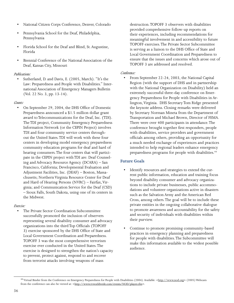- National Citizen Corps Conference, Denver, Colorado
- Pennsylvania School for the Deaf, Philadelphia, Pennsylvania
- Florida School for the Deaf and Blind, St. Augustine, Florida
- Biennial Conference of the National Association of the Deaf, Kansas City, Missouri

#### *Publications:*

• Sutherland, D. and Davis, E. (2005, March). "It's the Law: Preparedness and People with Disabilities." International Association of Emergency Managers Bulletin (Vol. 22 No. 3, pp. 13-14).

#### *Grants:*

• On September 29, 2004, the DHS Office of Domestic Preparedness announced a \$1.5 million dollar grant award to Telecommunications for the Deaf, Inc. (TDI). The TDI project, Community Emergency Preparedness Information Network (or the CEPIN Project) involves TDI and four community service centers throughout the United States. TDI will work with these four centers in developing model emergency preparedness community education programs for deaf and hard of hearing consumers. The four centers that will participate in the CEPIN project with TDI are: Deaf Counseling and Advocacy Resource Agency (DCARA) – San Francisco, California; Developmental Evaluation and Adjustment Facilities, Inc. (DEAF) – Boston, Massachusetts; Northern Virginia Resource Center for Deaf and Hard of Hearing Persons (NVRC) – Fairfax, Virginia; and Communication Service for the Deaf (CSD) – Sioux Falls, South Dakota, using one of its centers in the Midwest.

#### *Exercise:*

• The Private Sector Coordination Subcommittee successfully promoted the inclusion of observers representing several disability consumer and advocacy organizations into the third Top Officials (TOPOFF 3) exercise sponsored by the DHS Office of State and Local Government Coordination and Preparedness. TOPOFF 3 was the most comprehensive terrorism exercise ever conducted in the United States. The exercise is designed to strengthen the nation's capacity to prevent, protect against, respond to and recover from terrorist attacks involving weapons of mass

destruction. TOPOFF 3 observers with disabilities provided comprehensive follow-up reports on their experiences, including recommendations for meaningful involvement in and accessibility to future TOPOFF exercises. The Private Sector Subcommittee is serving as a liaison to the DHS Office of State and Local Government Coordination and Preparedness to ensure that the issues and concerns which arose out of TOPOFF 3 are addressed and resolved.

#### *Conference:*

• From September 22-24, 2003, the National Capital Region (with the support of DHS and in partnership with the National Organization on Disability) held an extremely successful three-day conference on Emergency Preparedness for People with Disabilities in Arlington, Virginia. DHS Secretary Tom Ridge presented the keynote address. Closing remarks were delivered by Secretary Norman Mineta from the Department of Transportation and Michael Brown, Director of FEMA. There were over 400 participants in attendance. The conference brought together first responders, people with disabilities, service providers and government officials among others, providing an opportunity for a much needed exchange of experiences and practices intended to help regional leaders enhance emergency preparedness programs for people with disabilities.<sup>44</sup>

#### **Future Goals**

- Identify resources and strategies to extend the current public information, education and training focus beyond disability consumer and advocacy organizations to include private businesses, public accommodations and volunteer organizations active in disasters such as the Salvation Army and the American Red Cross, among others. The goal will be to include these private entities in the ongoing collaborative dialogue to promote awareness and accountability for the safety and security of individuals with disabilities within their purview.
- Continue to promote promising community-based practices in emergency planning and preparedness for people with disabilities. The Subcommittee will make this information available to the widest possible audience.

<sup>&</sup>lt;sup>44</sup> Virtual Binder from the Conference on Emergency Preparedness for People with Disabilities (2004). Available: <http://www.nod.org> (2005) Webcasts from the conference can also be viewed at: <http://www.tvworldwide.com/events/NOD/player.cfm>.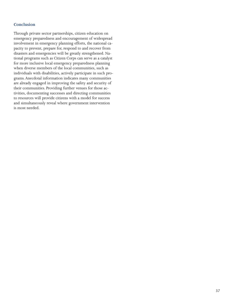#### **Conclusion**

Through private sector partnerships, citizen education on emergency preparedness and encouragement of widespread involvement in emergency planning efforts, the national capacity to prevent, prepare for, respond to and recover from disasters and emergencies will be greatly strengthened. National programs such as Citizen Corps can serve as a catalyst for more inclusive local emergency preparedness planning when diverse members of the local communities, such as individuals with disabilities, actively participate in such programs. Anecdotal information indicates many communities are already engaged in improving the safety and security of their communities. Providing further venues for those activities, documenting successes and directing communities to resources will provide citizens with a model for success and simultaneously reveal where government intervention is most needed.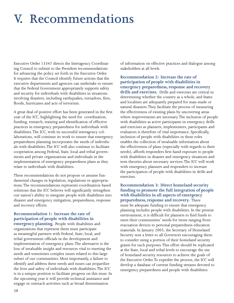## <span id="page-39-0"></span>**V. Recommendations**

Executive Order 13347 directs the Interagency Coordinating Council to submit to the President recommendations for advancing the policy set forth in the Executive Order. It requires that the Council identify future actions that the executive departments and agencies can undertake to ensure that the Federal Government appropriately supports safety and security for individuals with disabilities in situations involving disasters, including earthquakes, tornadoes, fires, floods, hurricanes and acts of terrorism.

A great deal of positive effort has been generated in the first year of the ICC, highlighting the need for coordination, funding, research, training and identification of effective practices in emergency preparedness for individuals with disabilities. The ICC, with its successful interagency collaborations, will continue its work to ensure that emergency preparedness planning incorporates the needs of individuals with disabilities. The ICC will also continue to facilitate cooperation among Federal, State, local and tribal governments and private organizations and individuals in the implementation of emergency preparedness plans as they relate to individuals with disabilities.

These recommendations do not propose or assume fundamental changes in legislation, regulations or appropriations. The recommendations represents coordination-based solutions that the ICC believes will significantly strengthen our nation's ability to integrate people with disabilities into disaster and emergency mitigation, preparedness, response and recovery efforts.

#### **Recommendation 1: Increase the rate of participation of people with disabilities in**

**emergency planning.** People with disabilities and organizations that represent them must participate as meaningful partners with Federal, State, local, and tribal government officials in the development and implementation of emergency plans. The alternative is the loss of invaluable insight and resources vital to meeting the needs and sometimes complex issues related to this large subset of our communities. Most importantly, a failure to identify and address these needs and issues can jeopardize the lives and safety of individuals with disabilities. The ICC is in a unique position to facilitate progress on this issue. In the upcoming year it will provide technical assistance and engage in outreach activities such as broad dissemination

of information on effective practices and dialogue among stakeholders at all levels.

**Recommendation 2: Increase the rate of participation of people with disabilities in emergency preparedness, response and recovery drills and exercises.** Drills and exercises are critical in determining whether the country as a whole, and States and localities are adequately prepared for man-made or natural disasters. They facilitate the process of measuring the effectiveness of existing plans by uncovering areas where improvements are necessary. The inclusion of people with disabilities as active participants in emergency drills and exercises as planners, implementers, participants and evaluators is therefore of vital importance. Specifically, inclusion of people with disabilities in these roles enables the collection of invaluable information about the effectiveness of plans (especially with regards to their needs), affords responders first-hand exposure to people with disabilities in disaster and emergency situations and tests theories about necessary services. The ICC will work with emergency planners and responders to increase the participation of people with disabilities in drills and exercises.

**Recommendation 3: Direct homeland security funding to promote the full integration of people with disabilities in all aspects of emergency preparedness, response and recovery.** There must be adequate funding to ensure that emergency planning includes people with disabilities. In the present environment, it is difficult for planners to find funds to meet their communities' needs for items ranging from evacuation devices to personal preparedness education materials. In January 2005, the Secretary of Homeland Security sent a letter to all Governors encouraging them to consider using a portion of their homeland security grants for such purposes. This effort should be replicated at the State, local and tribal levels to encourage the use of homeland security resources to achieve the goals of the Executive Order. To expedite the process, the ICC will develop a database of current funding streams devoted to emergency preparedness and people with disabilities.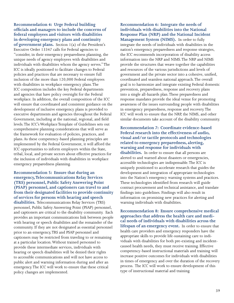**Recommendation 4: Urge Federal building officials and managers to include the concerns of federal employees and visitors with disabilities in developing emergency plans and continuity of government plans.** Section 1(a) of the President's Executive Order 13347 calls for Federal agencies to "consider, in their emergency preparedness planning, the unique needs of agency employees with disabilities and individuals with disabilities whom the agency serves." The ICC is ideally positioned to facilitate changes to Federal policies and practices that are necessary to ensure full inclusion of the more than 120,000 Federal employees with disabilities in workplace emergency plans. The ICC composition includes the key Federal departments and agencies that have policy oversight for the Federal workplace. In addition, the overall composition of the ICC will ensure that coordinated and consistent guidance on the development of inclusive emergency plans is provided to executive departments and agencies throughout the Federal Government, including at the national, regional, and field levels. The ICC's Workplace Template of Guidelines sets out comprehensive planning considerations that will serve as the framework for evaluation of policies, practices, and plans. As these competency-based planning principles are implemented by the Federal Government, it will afford the ICC opportunities to inform employers within the State, tribal, local, and private sectors about effective practices for the inclusion of individuals with disabilities in workplace emergency preparedness planning.

**Recommendation 5: Ensure that during an emergency, Telecommunications Relay Services (TRS) personnel, Public Safety Answering Point (PSAP) personnel, and captioners can travel to and from their designated facilities to provide continuity of services for persons with hearing and speech disabilities.** Telecommunications Relay Services (TRS) personnel, Public Safety Answering Point (PSAP) personnel, and captioners are critical to the disability community. Each provides an important communications link between people with hearing or speech disabilities and the remainder of the community. If they are not designated as essential personnel prior to an emergency, TRS and PSAP personnel and captioners may be restricted from traveling to or remaining at a particular location. Without trained personnel to provide these intermediate services, individuals with hearing or speech disabilities will be denied their rights to accessible communications and will not have access to public alert and warning information during and after an emergency. The ICC will work to ensure that these critical policy changes are implemented.

**Recommendation 6: Integrate the needs of individuals with disabilities into the National Response Plan (NRP) and the National Incident Management System (NIMS).** In order to fully integrate the needs of individuals with disabilities in the nation's emergency preparedness and response strategies, the ICC recommends incorporation of disability access information into the NRP and NIMS. The NRP and NIMS provide the structures that weave together the capabilities and resources of the various jurisdictions and levels of government and the private sector into a cohesive, unified, coordinated and seamless national approach. The overall goal is to harmonize and integrate existing Federal domestic prevention, preparedness, response and recovery plans into a single all-hazards plan. These preparedness and response mandates provide the ideal venue for promoting awareness of the issues surrounding people with disabilities in emergency preparedness, response and recovery. The ICC will work to ensure that the NRP, the NIMS, and other similar documents take account of the disability community.

**Recommendation 7: Coordinate evidence-based Federal research into the effectiveness of audio, visual and/or tactile protocols and technologies related to emergency preparedness, alerting, warning and response for individuals with disabilities.** In order to ensure that all persons are alerted to and warned about disasters or emergencies, accessible technologies are indispensable. The ICC is uniquely positioned to accelerate research that guides the development and integration of appropriate technologies into the Nation's emergency warning systems and practices. These technologies identified from research will guide contract procurement and technical assistance, and translate findings into guidelines. Findings will also result in information on promising new practices for alerting and warning individuals with disabilities.

**Recommendation 8: Ensure comprehensive medical approaches that address the health care and medical needs of individuals with disabilities across the lifespan of an emergency event.** In order to ensure that health care providers and emergency responders have the appropriate skills to provide life-sustaining care to individuals with disabilities for both pre-existing and incidentcaused health needs, they must receive training. Effective competency-based instructional materials and training will increase positive outcomes for individuals with disabilities in times of emergency and over the duration of the recovery process. The ICC will work to ensure development of this type of instructional material and training.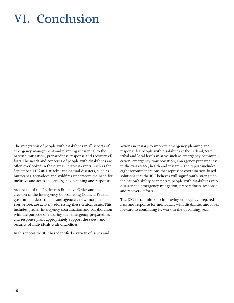## <span id="page-41-0"></span>**VI. Conclusion**

The integration of people with disabilities in all aspects of emergency management and planning is essential to the nation's mitigation, preparedness, response and recovery efforts. The needs and concerns of people with disabilities are often overlooked in these areas. Terrorist events, such as the September 11, 2001 attacks, and natural disasters, such as hurricanes, tornadoes and wildfires underscore the need for inclusive and accessible emergency planning and response.

As a result of the President's Executive Order and the creation of the Interagency Coordinating Council, Federal government departments and agencies, now more than ever before, are actively addressing these critical issues. This includes greater interagency coordination and collaboration with the purpose of ensuring that emergency preparedness and response plans appropriately support the safety and security of individuals with disabilities.

In this report the ICC has identified a variety of issues and

actions necessary to improve emergency planning and response for people with disabilities at the Federal, State, tribal and local levels in areas such as emergency communication, emergency transportation, emergency preparedness in the workplace, health and research. The report includes eight recommendations that represent coordination-based solutions that the ICC believes will significantly strengthen the nation's ability to integrate people with disabilities into disaster and emergency mitigation, preparedness, response and recovery efforts.

The ICC is committed to improving emergency preparedness and response for individuals with disabilities and looks forward to continuing its work in the upcoming year.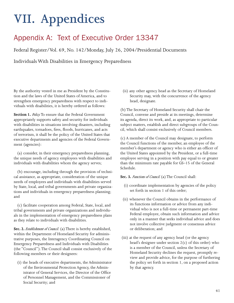## <span id="page-42-0"></span>**VII. Appendices**

### Appendix A: Text of Executive Order 13347

Federal Register/Vol. 69, No. 142/Monday, July 26, 2004/Presidential Documents

Individuals With Disabilities in Emergency Preparedness

By the authority vested in me as President by the Constitution and the laws of the United States of America, and to strengthen emergency preparedness with respect to individuals with disabilities, it is hereby ordered as follows:

**Section 1.** *Policy.* To ensure that the Federal Government appropriately supports safety and security for individuals with disabilities in situations involving disasters, including earthquakes, tornadoes, fires, floods, hurricanes, and acts of terrorism, it shall be the policy of the United States that executive departments and agencies of the Federal Government (agencies):

 (a) consider, in their emergency preparedness planning, the unique needs of agency employees with disabilities and individuals with disabilities whom the agency serves;

 (b) encourage, including through the provision of technical assistance, as appropriate, consideration of the unique needs of employees and individuals with disabilities served by State, local, and tribal governments and private organizations and individuals in emergency preparedness planning; and

 (c) facilitate cooperation among Federal, State, local, and tribal governments and private organizations and individuals in the implementation of emergency preparedness plans as they relate to individuals with disabilities.

**Sec. 2.** *Establishment of Council.* (a) There is hereby established, within the Department of Homeland Security for administrative purposes, the Interagency Coordinating Council on Emergency Preparedness and Individuals with Disabilities (the ''Council''). The Council shall consist exclusively of the following members or their designees:

(i) the heads of executive departments, the Administrator of the Environmental Protection Agency, the Administrator of General Services, the Director of the Office of Personnel Management, and the Commissioner of Social Security; and

(ii) any other agency head as the Secretary of Homeland Security may, with the concurrence of the agency head, designate.

(b) The Secretary of Homeland Security shall chair the Council, convene and preside at its meetings, determine its agenda, direct its work, and, as appropriate to particular subject matters, establish and direct subgroups of the Council, which shall consist exclusively of Council members.

(c) A member of the Council may designate, to perform the Council functions of the member, an employee of the member's department or agency who is either an officer of the United States appointed by the President, or a full-time employee serving in a position with pay equal to or greater than the minimum rate payable for GS–15 of the General Schedule.

**Sec. 3.** *Functions of Council.* (a) The Council shall:

- (i) coordinate implementation by agencies of the policy set forth in section 1 of this order;
- (ii) whenever the Council obtains in the performance of its functions information or advice from any individual who is not a full-time or permanent part-time Federal employee, obtain such information and advice only in a manner that seeks individual advice and does not involve collective judgment or consensus advice or deliberation; and
- (iii) at the request of any agency head (or the agency head's designee under section 2(c) of this order) who is a member of the Council, unless the Secretary of Homeland Security declines the request, promptly review and provide advice, for the purpose of furthering the policy set forth in section 1, on a proposed action by that agency.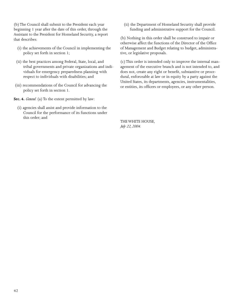(b) The Council shall submit to the President each year beginning 1 year after the date of this order, through the Assistant to the President for Homeland Security, a report that describes:

- (i) the achievements of the Council in implementing the policy set forth in section 1;
- (ii) the best practices among Federal, State, local, and tribal governments and private organizations and individuals for emergency preparedness planning with respect to individuals with disabilities; and
- (iii) recommendations of the Council for advancing the policy set forth in section 1.

**Sec. 4.** *General.* (a) To the extent permitted by law:

(i) agencies shall assist and provide information to the Council for the performance of its functions under this order; and

(ii) the Department of Homeland Security shall provide funding and administrative support for the Council.

(b) Nothing in this order shall be construed to impair or otherwise affect the functions of the Director of the Office of Management and Budget relating to budget, administrative, or legislative proposals.

(c) This order is intended only to improve the internal management of the executive branch and is not intended to, and does not, create any right or benefit, substantive or procedural, enforceable at law or in equity by a party against the United States, its departments, agencies, instrumentalities, or entities, its officers or employees, or any other person.

THE WHITE HOUSE, *July 22, 2004.*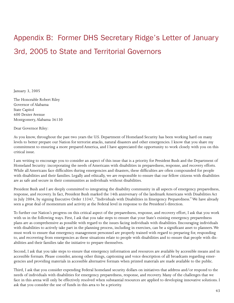## <span id="page-44-0"></span>Appendix B: Former DHS Secretary Ridge's Letter of January 3rd, 2005 to State and Territorial Governors

January 3, 2005

The Honorable Robert Riley Governor of Alabama State Capitol 600 Dexter Avenue Montgomery, Alabama 36130

Dear Governor Riley:

As you know, throughout the past two years the U.S. Department of Homeland Security has been working hard on many levels to better prepare our Nation for terrorist attacks, natural disasters and other emergencies. I know that you share my commitment to ensuring a more prepared America, and I have appreciated the opportunity to work closely with you on this critical issue.

I am writing to encourage you to consider an aspect of this issue that is a priority for President Bush and the Department of Homeland Security: incorporating the needs of Americans with disabilities in preparedness, response, and recovery efforts. While all Americans face difficulties during emergencies and disasters, these difficulties are often compounded for people with disabilities and their families. Legally and ethically, we are responsible to ensure that our fellow citizens with disabilities are as safe and secure in their communities as individuals without disabilities.

President Bush and I are deeply committed to integrating the disability community in all aspects of emergency preparedness, response, and recovery. In fact, President Bush marked the 14th anniversary of the landmark Americans with Disabilities Act in July 2004, by signing Executive Order 13347, "Individuals with Disabilities in Emergency Preparedness." We have already seen a great deal of momentum and activity at the Federal level in response to the President's direction.

To further our Nation's progress on this critical aspect of the preparedness, response, and recovery effort, I ask that you work with us in the following ways. First, I ask that you take steps to ensure that your State's existing emergency preparedness plans are as comprehensive as possible with regard to the issues facing individuals with disabilities. Encouraging individuals with disabilities to actively take part in the planning process, including in exercises, can be a significant asset to planners. We must work to ensure that emergency management personnel are properly trained with regard to preparing for, responding to, and recovering from emergencies as these situations relate to people with disabilities and to ensure that people with disabilities and their families take the initiative to prepare themselves.

Second, I ask that you take steps to ensure that emergency information and resources are available by accessible means and in accessible formats. Please consider, among other things, captioning and voice description of all broadcasts regarding emergencies and providing materials in accessible alternative formats when printed materials are made available to the public.

Third, I ask that you consider expending Federal homeland security dollars on initiatives that address and/or respond to the needs of individuals with disabilities for emergency preparedness, response, and recovery. Many of the challenges that we face in this arena will only be effectively resolved when substantial resources are applied to developing innovative solutions. I ask that you consider the use of funds in this area to be a priority.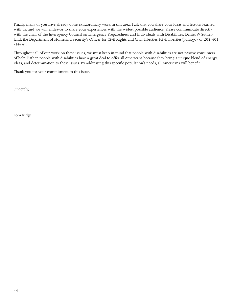Finally, many of you have already done extraordinary work in this area. I ask that you share your ideas and lessons learned with us, and we will endeavor to share your experiences with the widest possible audience. Please communicate directly with the chair of the Interagency Council on Emergency Preparedness and Individuals with Disabilities, Daniel W. Sutherland, the Department of Homeland Security's Officer for Civil Rights and Civil Liberties (civil.liberties@dhs.gov or 202-401 -1474).

Throughout all of our work on these issues, we must keep in mind that people with disabilities are not passive consumers of help. Rather, people with disabilities have a great deal to offer all Americans because they bring a unique blend of energy, ideas, and determination to these issues. By addressing this specific population's needs, all Americans will benefit.

Thank you for your commitment to this issue.

Sincerely,

Tom Ridge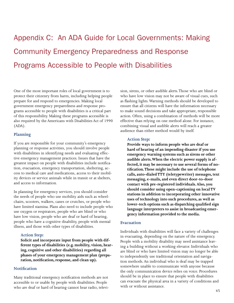## <span id="page-46-0"></span>Appendix C: An ADA Guide for Local Governments: Making Community Emergency Preparedness and Response Programs Accessible to People with Disabilities

One of the most important roles of local government is to protect their citizenry from harm, including helping people prepare for and respond to emergencies. Making local government emergency preparedness and response programs accessible to people with disabilities is a critical part of this responsibility. Making these programs accessible is also required by the Americans with Disabilities Act of 1990 (ADA).

#### **Planning**

If you are responsible for your community's emergency planning or response activities, you should involve people with disabilities in identifying needs and evaluating effective emergency management practices. Issues that have the greatest impact on people with disabilities include notification, evacuation, emergency transportation, sheltering, access to medical care and medications, access to their mobility devices or service animals while in transit or at shelters, and access to information.

In planning for emergency services, you should consider the needs of people who use mobility aids such as wheelchairs, scooters, walkers, canes or crutches, or people who have limited stamina. Plans also need to include people who use oxygen or respirators, people who are blind or who have low vision, people who are deaf or hard of hearing, people who have a cognitive disability, people with mental illness, and those with other types of disabilities.

#### **Action Step:**

**Solicit and incorporate input from people with different types of disabilities (e.g. mobility, vision, hearing, cognitive and other disabilities) regarding all phases of your emergency management plan (preparation, notification, response, and clean up).**

#### **Notification**

Many traditional emergency notification methods are not accessible to or usable by people with disabilities. People who are deaf or hard of hearing cannot hear radio, television, sirens, or other audible alerts. Those who are blind or who have low vision may not be aware of visual cues, such as flashing lights. Warning methods should be developed to ensure that all citizens will have the information necessary to make sound decisions and take appropriate, responsible action. Often, using a combination of methods will be more effective than relying on one method alone. For instance, combining visual and audible alerts will reach a greater audience than either method would by itself.

#### **Action Step:**

**Provide ways to inform people who are deaf or hard of hearing of an impending disaster if you use emergency warning systems such as sirens or other audible alerts. When the electric power supply is affected, it may be necessary to use several forms of notification. These might include the use of telephone calls, auto-dialed TTY (teletypewriter) messages, text messaging, e-mails, and even direct door-to-door contact with pre-registered individuals. Also, you should consider using open-captioning on local TV stations in addition to incorporating other innovative uses of technology into such procedures, as well as lower-tech options such as dispatching qualified sign language interpreters to assist in broadcasting emergency information provided to the media.**

#### **Evacuation**

Individuals with disabilities will face a variety of challenges in evacuating, depending on the nature of the emergency. People with a mobility disability may need assistance leaving a building without a working elevator. Individuals who are blind or who have limited vision may no longer be able to independently use traditional orientation and navigation methods. An individual who is deaf may be trapped somewhere unable to communicate with anyone because the only communication device relies on voice. Procedures should be in place to ensure that people with disabilities can evacuate the physical area in a variety of conditions and with or without assistance.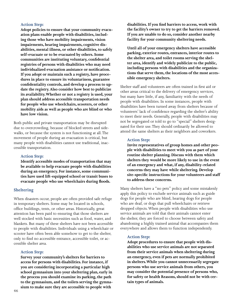#### **Action Step:**

**Adopt policies to ensure that your community evacuation plans enable people with disabilities, including those who have mobility impairments, vision impairments, hearing impairments, cognitive disabilities, mental illness, or other disabilities, to safely self-evacuate or to be evacuated by others. Some communities are instituting voluntary, confidential registries of persons with disabilities who may need individualized evacuation assistance or notification. If you adopt or maintain such a registry, have procedures in place to ensure its voluntariness, guarantee confidentiality controls, and develop a process to update the registry. Also consider how best to publicize its availability. Whether or not a registry is used, your plan should address accessible transportation needs for people who use wheelchairs, scooters, or other mobility aids as well as people who are blind or who have low vision.**

Both public and private transportation may be disrupted due to overcrowding, because of blocked streets and sidewalks, or because the system is not functioning at all. The movement of people during an evacuation is critical, but many people with disabilities cannot use traditional, inaccessible transportation.

#### **Action Step:**

**Identify accessible modes of transportation that may be available to help evacuate people with disabilities during an emergency. For instance, some communities have used lift-equipped school or transit buses to evacuate people who use wheelchairs during floods.**

#### **Sheltering**

When disasters occur, people are often provided safe refuge in temporary shelters. Some may be located in schools, office buildings, tents, or other areas. Historically, great attention has been paid to ensuring that those shelters are well stocked with basic necessities such as food, water, and blankets. But many of these shelters have not been accessible to people with disabilities. Individuals using a wheelchair or scooter have often been able somehow to get to the shelter, only to find no accessible entrance, accessible toilet, or accessible shelter area.

#### **Action Step:**

**Survey your community's shelters for barriers to access for persons with disabilities. For instance, if you are considering incorporating a particular high school gymnasium into your sheltering plan, early in the process you should examine its parking, the path to the gymnasium, and the toilets serving the gymnasium to make sure they are accessible to people with** 

**disabilities. If you find barriers to access, work with the facility's owner to try to get the barriers removed. If you are unable to do so, consider another nearby facility for your community sheltering needs.**

**Until all of your emergency shelters have accessible parking, exterior routes, entrances, interior routes to the shelter area, and toilet rooms serving the shelter area, identify and widely publicize to the public, including persons with disabilities and the organizations that serve them, the locations of the most accessible emergency shelters.**

Shelter staff and volunteers are often trained in first aid or other areas critical to the delivery of emergency services, but many have little, if any, familiarity with the needs of people with disabilities. In some instances, people with disabilities have been turned away from shelters because of volunteers' lack of confidence regarding the shelter's ability to meet their needs. Generally, people with disabilities may not be segregated or told to go to "special" shelters designated for their use. They should ordinarily be allowed to attend the same shelters as their neighbors and coworkers.

#### **Action Step:**

**Invite representatives of group homes and other people with disabilities to meet with you as part of your routine shelter planning. Discuss with them which shelters they would be more likely to use in the event of an emergency and what, if any, disability-related concerns they may have while sheltering. Develop site-specific instructions for your volunteers and staff to address these concerns.**

Many shelters have a "no pets" policy and some mistakenly apply this policy to exclude service animals such as guide dogs for people who are blind, hearing dogs for people who are deaf, or dogs that pull wheelchairs or retrieve dropped objects. When people with disabilities who use service animals are told that their animals cannot enter the shelter, they are forced to choose between safety and abandoning a highly trained animal that accompanies them everywhere and allows them to function independently.

#### **Action Step:**

**Adopt procedures to ensure that people with disabilities who use service animals are not separated from their service animals when sheltering during an emergency, even if pets are normally prohibited in shelters. While you cannot unnecessarily segregate persons who use service animals from others, you may consider the potential presence of persons who, for safety or health Reasons, should not be with certain types of animals.**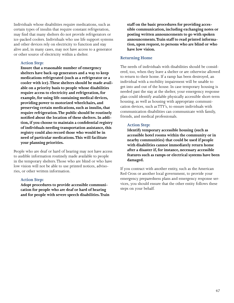Individuals whose disabilities require medications, such as certain types of insulin that require constant refrigeration, may find that many shelters do not provide refrigerators or ice-packed coolers. Individuals who use life support systems and other devices rely on electricity to function and stay alive and, in many cases, may not have access to a generator or other source of electricity within a shelter.

#### **Action Step:**

**Ensure that a reasonable number of emergency shelters have back-up generators and a way to keep medications refrigerated (such as a refrigerator or a cooler with ice). These shelters should be made available on a priority basis to people whose disabilities require access to electricity and refrigeration, for example, for using life-sustaining medical devices, providing power to motorized wheelchairs, and preserving certain medications, such as insulin, that require refrigeration. The public should be routinely notified about the location of these shelters. In addition, if you choose to maintain a confidential registry of individuals needing transportation assistance, this registry could also record those who would be in need of particular medications. This will facilitate your planning priorities.**

People who are deaf or hard of hearing may not have access to audible information routinely made available to people in the temporary shelters. Those who are blind or who have low vision will not be able to use printed notices, advisories, or other written information.

#### **Action Step:**

**Adopt procedures to provide accessible communication for people who are deaf or hard of hearing and for people with severe speech disabilities. Train**  **staff on the basic procedures for providing accessible communication, including exchanging notes or posting written announcements to go with spoken announcements. Train staff to read printed information, upon request, to persons who are blind or who have low vision.**

#### **Returning Home**

The needs of individuals with disabilities should be considered, too, when they leave a shelter or are otherwise allowed to return to their home. If a ramp has been destroyed, an individual with a mobility impairment will be unable to get into and out of the house. In case temporary housing is needed past the stay at the shelter, your emergency response plan could identify available physically accessible short-term housing, as well as housing with appropriate communication devices, such as TTY's, to ensure individuals with communication disabilities can communicate with family, friends, and medical professionals.

#### **Action Step:**

**Identify temporary accessible housing (such as accessible hotel rooms within the community or in nearby communities) that could be used if people with disabilities cannot immediately return home after a disaster if, for instance, necessary accessible features such as ramps or electrical systems have been damaged.**

If you contract with another entity, such as the American Red Cross or another local government, to provide your emergency preparedness plans and emergency response services, you should ensure that the other entity follows these steps on your behalf.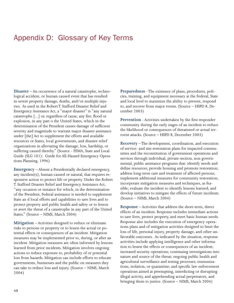### <span id="page-49-0"></span>Appendix D: Glossary of Key Terms

**Disaster** – An occurrence of a natural catastrophe, technological accident, or human caused event that has resulted in severe property damage, deaths, and/or multiple injuries. As used in the Robert T. Stafford Disaster Relief and Emergency Assistance Act, a "major disaster" is "any natural catastrophe [...] or, regardless of cause, any fire, flood or explosion, in any part o the United States, which in the determination of the President causes damage of sufficient severity and magnitude to warrant major disaster assistance under [the] Act to supplement the efforts and available resources or States, local governments, and disaster relief organizations in alleviating the damage, loss, hardship, or suffering caused thereby." (Source - FEMA, State and Local Guide (SLG 101): Guide for All-Hazard Emergency Operations Planning, 1996)

**Emergency** – Absent a Presidentially declared emergency, any incident(s), human-caused or natural, that requires responsive action to protect life or property. Under the Robert T. Stafford Disaster Relief and Emergency Assistance Act, "any occasion or instance for which, in the determination of the President, Federal assistance is needed to supplement State an d local efforts and capabilities to save lives and to protect property and public health and safety or to lesson or avert the threat of a catastrophe in any part of the United States." (Source – NIMS, March 2004)

**Mitigation** – Activities designed to reduce or eliminate risks to persons or property or to lessen the actual or potential effects or consequences of an incident. Mitigation measures may be implemented prior to, during, or after an incident. Mitigation measures are often informed by lessons learned from prior incidents. Mitigation involves ongoing actions to reduce exposure to, probability of or potential loss from hazards. Mitigation can include efforts to educate governments, businesses and the public on measures they can take to reduce loss and injury. (Source – NIMS, March 2004)

**Preparedness** - The existence of plans, procedures, policies, training, and equipment necessary at the Federal, State and local level to maximize the ability to prevent, respond to, and recover from major events. (Source – HSPD 8, December 2003)

**Prevention** - Activities undertaken by the first responder community during the early stages of an incident to reduce the likelihood or consequences of threatened or actual terrorist attacks. (Source – HSPD 8, December 2003)

**Recovery** – The development, coordination, and execution of service- and site-restoration plans for impacted communities and the reconstitution of government operations and services through individual, private-section, non governmental, public assistance programs that: identify needs and define resources; provide housing and promote restoration; address long-term care and treatment of affected persons; implement additional measures for community restoration; incorporate mitigation measures and techniques, as feasible; evaluate the incident to identify lessons learned; and develop initiatives to mitigate the effects of future incidents. (Source – NIMS, March 2004)

**Response** – Activities that address the short-term, direct effects of an incident. Response includes immediate actions to save lives, protect property, and meet basic human needs. Response also includes the execution of emergency operations plans and of mitigation activities designed to limit the loss of life, personal injury, property damage, and other unfavorable outcomes. As indicated by the situation, response activities include applying intelligence and other information to lessen the effects or consequences of an incident; increased security operations; continuing investigations into nature and source of the threat; ongoing public health and agricultural surveillance and testing processes; immunizations, isolation, or quarantine; and specific law enforcement operations aimed at preempting, interdicting or disrupting illegal activity, and apprehending actual perpetrators, and bringing them to justice. (Source – NIMS, March 2004)